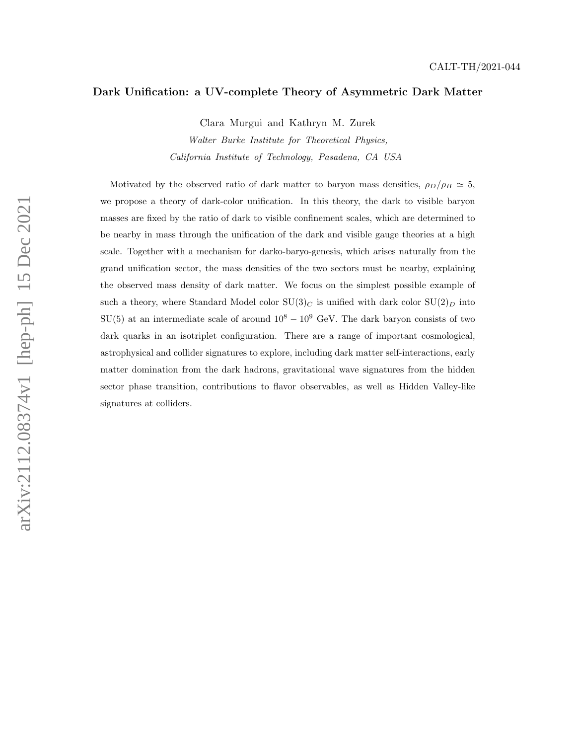# Dark Unification: a UV-complete Theory of Asymmetric Dark Matter

Clara Murgui and Kathryn M. Zurek

Walter Burke Institute for Theoretical Physics, California Institute of Technology, Pasadena, CA USA

Motivated by the observed ratio of dark matter to baryon mass densities,  $\rho_D/\rho_B \simeq 5$ , we propose a theory of dark-color unification. In this theory, the dark to visible baryon masses are fixed by the ratio of dark to visible confinement scales, which are determined to be nearby in mass through the unification of the dark and visible gauge theories at a high scale. Together with a mechanism for darko-baryo-genesis, which arises naturally from the grand unification sector, the mass densities of the two sectors must be nearby, explaining the observed mass density of dark matter. We focus on the simplest possible example of such a theory, where Standard Model color  $SU(3)_C$  is unified with dark color  $SU(2)_D$  into SU(5) at an intermediate scale of around  $10^8 - 10^9$  GeV. The dark baryon consists of two dark quarks in an isotriplet configuration. There are a range of important cosmological, astrophysical and collider signatures to explore, including dark matter self-interactions, early matter domination from the dark hadrons, gravitational wave signatures from the hidden sector phase transition, contributions to flavor observables, as well as Hidden Valley-like signatures at colliders.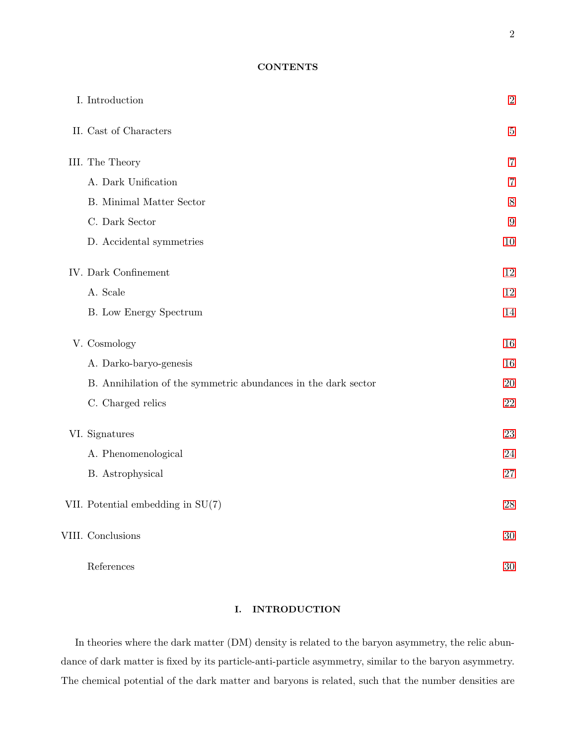# **CONTENTS**

| I. Introduction                                                | $\sqrt{2}$       |
|----------------------------------------------------------------|------------------|
| II. Cast of Characters                                         | $\bf 5$          |
| III. The Theory                                                | 7                |
| A. Dark Unification                                            | $\overline{7}$   |
| B. Minimal Matter Sector                                       | $8\,$            |
| C. Dark Sector                                                 | $\boldsymbol{9}$ |
| D. Accidental symmetries                                       | $10\,$           |
| IV. Dark Confinement                                           | $12\,$           |
| A. Scale                                                       | $12\,$           |
| <b>B.</b> Low Energy Spectrum                                  | 14               |
| V. Cosmology                                                   | 16               |
| A. Darko-baryo-genesis                                         | 16               |
| B. Annihilation of the symmetric abundances in the dark sector | $20\,$           |
| C. Charged relics                                              | $22\,$           |
| VI. Signatures                                                 | 23               |
| A. Phenomenological                                            | 24               |
| B. Astrophysical                                               | 27               |
| VII. Potential embedding in $SU(7)$                            | ${\bf 28}$       |
| VIII. Conclusions                                              | $30\,$           |
| References                                                     | 30               |

# <span id="page-1-0"></span>I. INTRODUCTION

In theories where the dark matter (DM) density is related to the baryon asymmetry, the relic abundance of dark matter is fixed by its particle-anti-particle asymmetry, similar to the baryon asymmetry. The chemical potential of the dark matter and baryons is related, such that the number densities are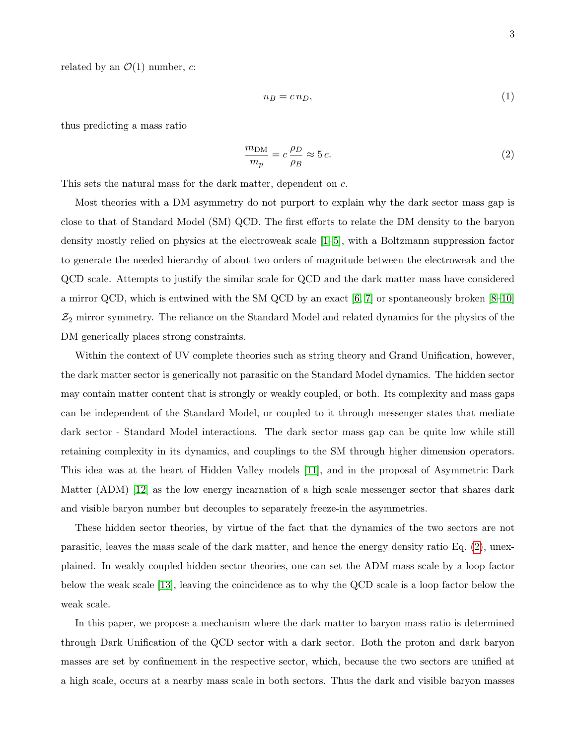related by an  $\mathcal{O}(1)$  number, c:

$$
n_B = c n_D,\tag{1}
$$

thus predicting a mass ratio

<span id="page-2-0"></span>
$$
\frac{m_{\text{DM}}}{m_p} = c \frac{\rho_D}{\rho_B} \approx 5 c. \tag{2}
$$

This sets the natural mass for the dark matter, dependent on c.

Most theories with a DM asymmetry do not purport to explain why the dark sector mass gap is close to that of Standard Model (SM) QCD. The first efforts to relate the DM density to the baryon density mostly relied on physics at the electroweak scale [\[1–](#page-29-2)[5\]](#page-30-0), with a Boltzmann suppression factor to generate the needed hierarchy of about two orders of magnitude between the electroweak and the QCD scale. Attempts to justify the similar scale for QCD and the dark matter mass have considered a mirror QCD, which is entwined with the SM QCD by an exact [\[6,](#page-30-1) [7\]](#page-30-2) or spontaneously broken [\[8–](#page-30-3)[10\]](#page-30-4)  $\mathcal{Z}_2$  mirror symmetry. The reliance on the Standard Model and related dynamics for the physics of the DM generically places strong constraints.

Within the context of UV complete theories such as string theory and Grand Unification, however, the dark matter sector is generically not parasitic on the Standard Model dynamics. The hidden sector may contain matter content that is strongly or weakly coupled, or both. Its complexity and mass gaps can be independent of the Standard Model, or coupled to it through messenger states that mediate dark sector - Standard Model interactions. The dark sector mass gap can be quite low while still retaining complexity in its dynamics, and couplings to the SM through higher dimension operators. This idea was at the heart of Hidden Valley models [\[11\]](#page-30-5), and in the proposal of Asymmetric Dark Matter (ADM) [\[12\]](#page-30-6) as the low energy incarnation of a high scale messenger sector that shares dark and visible baryon number but decouples to separately freeze-in the asymmetries.

These hidden sector theories, by virtue of the fact that the dynamics of the two sectors are not parasitic, leaves the mass scale of the dark matter, and hence the energy density ratio Eq. [\(2\)](#page-2-0), unexplained. In weakly coupled hidden sector theories, one can set the ADM mass scale by a loop factor below the weak scale [\[13\]](#page-30-7), leaving the coincidence as to why the QCD scale is a loop factor below the weak scale.

In this paper, we propose a mechanism where the dark matter to baryon mass ratio is determined through Dark Unification of the QCD sector with a dark sector. Both the proton and dark baryon masses are set by confinement in the respective sector, which, because the two sectors are unified at a high scale, occurs at a nearby mass scale in both sectors. Thus the dark and visible baryon masses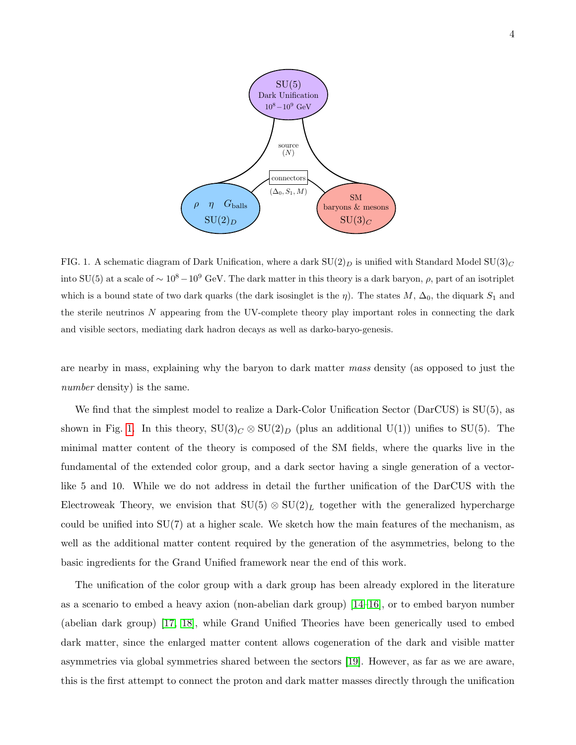

<span id="page-3-0"></span>FIG. 1. A schematic diagram of Dark Unification, where a dark  $SU(2)_D$  is unified with Standard Model  $SU(3)_C$ into SU(5) at a scale of  $\sim 10^8-10^9$  GeV. The dark matter in this theory is a dark baryon,  $\rho$ , part of an isotriplet which is a bound state of two dark quarks (the dark isosinglet is the  $\eta$ ). The states M,  $\Delta_0$ , the diquark  $S_1$  and the sterile neutrinos N appearing from the UV-complete theory play important roles in connecting the dark and visible sectors, mediating dark hadron decays as well as darko-baryo-genesis.

are nearby in mass, explaining why the baryon to dark matter mass density (as opposed to just the number density) is the same.

We find that the simplest model to realize a Dark-Color Unification Sector (DarCUS) is SU(5), as shown in Fig. [1.](#page-3-0) In this theory,  $SU(3)_C \otimes SU(2)_D$  (plus an additional  $U(1)$ ) unifies to  $SU(5)$ . The minimal matter content of the theory is composed of the SM fields, where the quarks live in the fundamental of the extended color group, and a dark sector having a single generation of a vectorlike 5 and 10. While we do not address in detail the further unification of the DarCUS with the Electroweak Theory, we envision that  $SU(5) \otimes SU(2)_L$  together with the generalized hypercharge could be unified into  $SU(7)$  at a higher scale. We sketch how the main features of the mechanism, as well as the additional matter content required by the generation of the asymmetries, belong to the basic ingredients for the Grand Unified framework near the end of this work.

The unification of the color group with a dark group has been already explored in the literature as a scenario to embed a heavy axion (non-abelian dark group) [\[14–](#page-30-8)[16\]](#page-30-9), or to embed baryon number (abelian dark group) [\[17,](#page-30-10) [18\]](#page-30-11), while Grand Unified Theories have been generically used to embed dark matter, since the enlarged matter content allows cogeneration of the dark and visible matter asymmetries via global symmetries shared between the sectors [\[19\]](#page-30-12). However, as far as we are aware, this is the first attempt to connect the proton and dark matter masses directly through the unification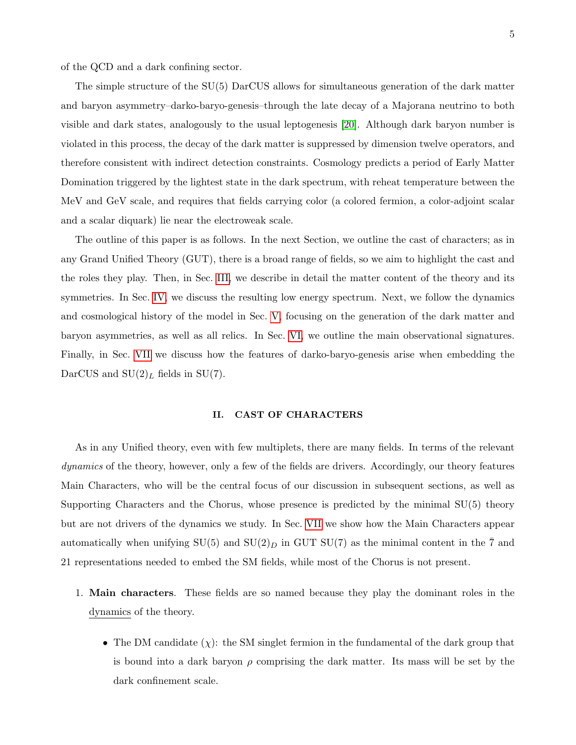of the QCD and a dark confining sector.

The simple structure of the SU(5) DarCUS allows for simultaneous generation of the dark matter and baryon asymmetry–darko-baryo-genesis–through the late decay of a Majorana neutrino to both visible and dark states, analogously to the usual leptogenesis [\[20\]](#page-30-13). Although dark baryon number is violated in this process, the decay of the dark matter is suppressed by dimension twelve operators, and therefore consistent with indirect detection constraints. Cosmology predicts a period of Early Matter Domination triggered by the lightest state in the dark spectrum, with reheat temperature between the MeV and GeV scale, and requires that fields carrying color (a colored fermion, a color-adjoint scalar and a scalar diquark) lie near the electroweak scale.

The outline of this paper is as follows. In the next Section, we outline the cast of characters; as in any Grand Unified Theory (GUT), there is a broad range of fields, so we aim to highlight the cast and the roles they play. Then, in Sec. [III,](#page-6-0) we describe in detail the matter content of the theory and its symmetries. In Sec. [IV,](#page-11-0) we discuss the resulting low energy spectrum. Next, we follow the dynamics and cosmological history of the model in Sec. [V,](#page-15-0) focusing on the generation of the dark matter and baryon asymmetries, as well as all relics. In Sec. [VI,](#page-22-0) we outline the main observational signatures. Finally, in Sec. [VII](#page-27-0) we discuss how the features of darko-baryo-genesis arise when embedding the DarCUS and  $SU(2)_L$  fields in  $SU(7)$ .

#### <span id="page-4-0"></span>II. CAST OF CHARACTERS

As in any Unified theory, even with few multiplets, there are many fields. In terms of the relevant dynamics of the theory, however, only a few of the fields are drivers. Accordingly, our theory features Main Characters, who will be the central focus of our discussion in subsequent sections, as well as Supporting Characters and the Chorus, whose presence is predicted by the minimal SU(5) theory but are not drivers of the dynamics we study. In Sec. [VII](#page-27-0) we show how the Main Characters appear automatically when unifying  $SU(5)$  and  $SU(2)_D$  in GUT  $SU(7)$  as the minimal content in the  $\overline{7}$  and 21 representations needed to embed the SM fields, while most of the Chorus is not present.

- 1. Main characters. These fields are so named because they play the dominant roles in the dynamics of the theory.
	- The DM candidate  $(\chi)$ : the SM singlet fermion in the fundamental of the dark group that is bound into a dark baryon  $\rho$  comprising the dark matter. Its mass will be set by the dark confinement scale.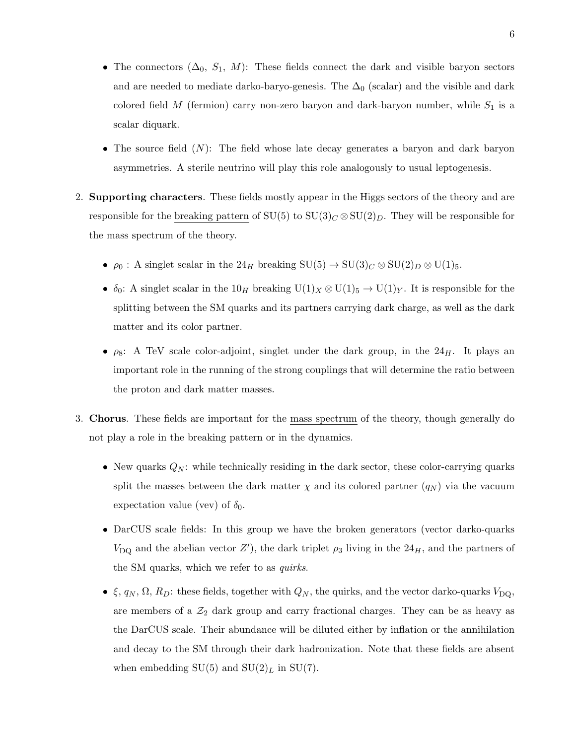- The connectors  $(\Delta_0, S_1, M)$ : These fields connect the dark and visible baryon sectors and are needed to mediate darko-baryo-genesis. The  $\Delta_0$  (scalar) and the visible and dark colored field  $M$  (fermion) carry non-zero baryon and dark-baryon number, while  $S_1$  is a scalar diquark.
- The source field  $(N)$ : The field whose late decay generates a baryon and dark baryon asymmetries. A sterile neutrino will play this role analogously to usual leptogenesis.
- 2. Supporting characters. These fields mostly appear in the Higgs sectors of the theory and are responsible for the breaking pattern of  $SU(5)$  to  $SU(3)_C \otimes SU(2)_D$ . They will be responsible for the mass spectrum of the theory.
	- $\rho_0$ : A singlet scalar in the  $24_H$  breaking  $\mathrm{SU}(5) \to \mathrm{SU}(3)_C \otimes \mathrm{SU}(2)_D \otimes \mathrm{U}(1)_5$ .
	- $\delta_0$ : A singlet scalar in the  $10_H$  breaking  $U(1)_X \otimes U(1)_5 \to U(1)_Y$ . It is responsible for the splitting between the SM quarks and its partners carrying dark charge, as well as the dark matter and its color partner.
	- $\rho_8$ : A TeV scale color-adjoint, singlet under the dark group, in the  $24_H$ . It plays an important role in the running of the strong couplings that will determine the ratio between the proton and dark matter masses.
- 3. Chorus. These fields are important for the mass spectrum of the theory, though generally do not play a role in the breaking pattern or in the dynamics.
	- New quarks  $Q_N$ : while technically residing in the dark sector, these color-carrying quarks split the masses between the dark matter  $\chi$  and its colored partner  $(q_N)$  via the vacuum expectation value (vev) of  $\delta_0$ .
	- DarCUS scale fields: In this group we have the broken generators (vector darko-quarks  $V_{\text{DQ}}$  and the abelian vector Z'), the dark triplet  $\rho_3$  living in the 24<sub>H</sub>, and the partners of the SM quarks, which we refer to as quirks.
	- $\xi$ ,  $q_N$ ,  $\Omega$ ,  $R_D$ : these fields, together with  $Q_N$ , the quirks, and the vector darko-quarks  $V_{\text{DQ}}$ , are members of a  $\mathcal{Z}_2$  dark group and carry fractional charges. They can be as heavy as the DarCUS scale. Their abundance will be diluted either by inflation or the annihilation and decay to the SM through their dark hadronization. Note that these fields are absent when embedding  $SU(5)$  and  $SU(2)<sub>L</sub>$  in  $SU(7)$ .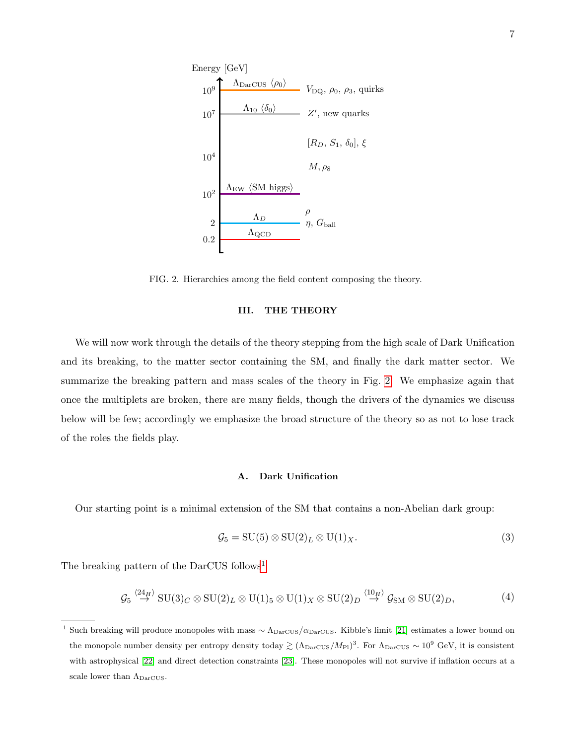

<span id="page-6-2"></span>FIG. 2. Hierarchies among the field content composing the theory.

#### <span id="page-6-0"></span>III. THE THEORY

We will now work through the details of the theory stepping from the high scale of Dark Unification and its breaking, to the matter sector containing the SM, and finally the dark matter sector. We summarize the breaking pattern and mass scales of the theory in Fig. [2.](#page-6-2) We emphasize again that once the multiplets are broken, there are many fields, though the drivers of the dynamics we discuss below will be few; accordingly we emphasize the broad structure of the theory so as not to lose track of the roles the fields play.

## <span id="page-6-1"></span>A. Dark Unification

Our starting point is a minimal extension of the SM that contains a non-Abelian dark group:

<span id="page-6-4"></span>
$$
\mathcal{G}_5 = \mathrm{SU}(5) \otimes \mathrm{SU}(2)_L \otimes \mathrm{U}(1)_X. \tag{3}
$$

The breaking pattern of the DarCUS follows<sup>[1](#page-6-3)</sup>

$$
\mathcal{G}_5 \stackrel{\langle 24_H \rangle}{\rightarrow} \text{SU}(3)_C \otimes \text{SU}(2)_L \otimes \text{U}(1)_5 \otimes \text{U}(1)_X \otimes \text{SU}(2)_D \stackrel{\langle 10_H \rangle}{\rightarrow} \mathcal{G}_{\text{SM}} \otimes \text{SU}(2)_D, \tag{4}
$$

<span id="page-6-3"></span><sup>&</sup>lt;sup>1</sup> Such breaking will produce monopoles with mass  $\sim \Lambda_{\text{DarCUS}}/\alpha_{\text{DarCUS}}$ . Kibble's limit [\[21\]](#page-30-14) estimates a lower bound on the monopole number density per entropy density today  $\gtrsim (\Lambda_{\text{DarCUS}}/M_{\text{Pl}})^3$ . For  $\Lambda_{\text{DarCUS}} \sim 10^9$  GeV, it is consistent with astrophysical [\[22\]](#page-30-15) and direct detection constraints [\[23\]](#page-30-16). These monopoles will not survive if inflation occurs at a scale lower than  $\Lambda_{\text{DarCUS}}$ .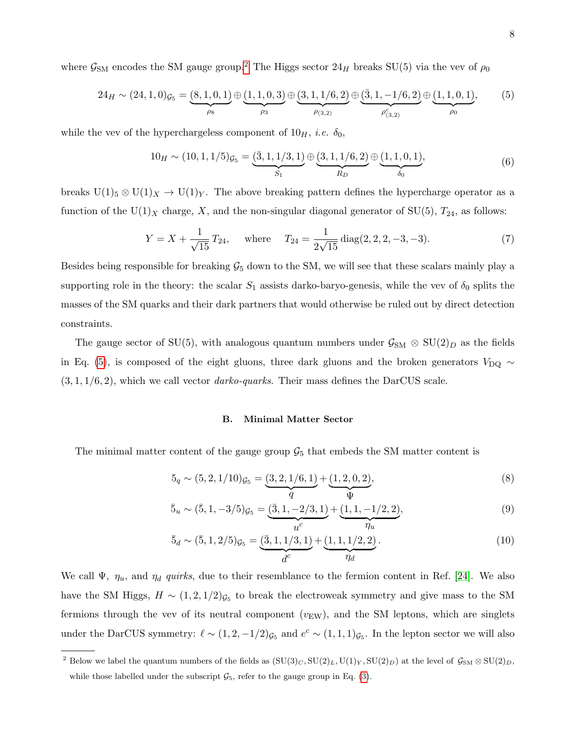where  $\mathcal{G}_{\text{SM}}$  encodes the SM gauge group.<sup>[2](#page-7-1)</sup> The Higgs sector  $24_H$  breaks SU(5) via the vev of  $\rho_0$ 

<span id="page-7-2"></span>
$$
24_H \sim (24, 1, 0)g_5 = (8, 1, 0, 1) \oplus (1, 1, 0, 3) \oplus (3, 1, 1/6, 2) \oplus (\overline{3}, 1, -1/6, 2) \oplus (1, 1, 0, 1),
$$
  

$$
\rho_3 \qquad \rho_3 \qquad \rho_4
$$

while the vev of the hyperchargeless component of  $10<sub>H</sub>$ , *i.e.*  $\delta_0$ ,

$$
10_H \sim (10, 1, 1/5)g_5 = \underbrace{(3, 1, 1/3, 1)}_{S_1} \oplus \underbrace{(3, 1, 1/6, 2)}_{R_D} \oplus \underbrace{(1, 1, 0, 1)}_{\delta_0},\tag{6}
$$

breaks  $U(1)$ <sub>5</sub>  $\otimes$   $U(1)_X \rightarrow U(1)_Y$ . The above breaking pattern defines the hypercharge operator as a function of the U(1)<sub>X</sub> charge, X, and the non-singular diagonal generator of SU(5),  $T_{24}$ , as follows:

$$
Y = X + \frac{1}{\sqrt{15}} T_{24}, \quad \text{where} \quad T_{24} = \frac{1}{2\sqrt{15}} \operatorname{diag}(2, 2, 2, -3, -3). \tag{7}
$$

Besides being responsible for breaking  $G_5$  down to the SM, we will see that these scalars mainly play a supporting role in the theory: the scalar  $S_1$  assists darko-baryo-genesis, while the vev of  $\delta_0$  splits the masses of the SM quarks and their dark partners that would otherwise be ruled out by direct detection constraints.

The gauge sector of SU(5), with analogous quantum numbers under  $\mathcal{G}_{SM} \otimes SU(2)_D$  as the fields in Eq. [\(5\)](#page-7-2), is composed of the eight gluons, three dark gluons and the broken generators  $V_{\text{DQ}} \sim$  $(3, 1, 1/6, 2)$ , which we call vector *darko-quarks*. Their mass defines the DarCUS scale.

## <span id="page-7-0"></span>B. Minimal Matter Sector

The minimal matter content of the gauge group  $\mathcal{G}_5$  that embeds the SM matter content is

$$
5_q \sim (5, 2, 1/10)g_5 = \underbrace{(3, 2, 1/6, 1)}_{q} + \underbrace{(1, 2, 0, 2)}_{q},\tag{8}
$$

$$
\bar{5}_u \sim (\bar{5}, 1, -3/5)g_5 = \underbrace{(\bar{3}, 1, -2/3, 1)}_{u^c} + \underbrace{(\bar{1}, 1, -1/2, 2)}_{\eta_u},\tag{9}
$$

$$
\bar{5}_d \sim (\bar{5}, 1, 2/5)_{\mathcal{G}_5} = \underbrace{(\bar{3}, 1, 1/3, 1)}_{d^c} + \underbrace{(1, 1, 1/2, 2)}_{\eta_d}.
$$
\n(10)

We call  $\Psi$ ,  $\eta_u$ , and  $\eta_d$  quirks, due to their resemblance to the fermion content in Ref. [\[24\]](#page-30-17). We also have the SM Higgs,  $H \sim (1, 2, 1/2)g_5$  to break the electroweak symmetry and give mass to the SM fermions through the vev of its neutral component  $(v_{EW})$ , and the SM leptons, which are singlets under the DarCUS symmetry:  $\ell \sim (1, 2, -1/2)_{\mathcal{G}_5}$  and  $e^c \sim (1, 1, 1)_{\mathcal{G}_5}$ . In the lepton sector we will also

<span id="page-7-1"></span><sup>&</sup>lt;sup>2</sup> Below we label the quantum numbers of the fields as  $(SU(3)_C, SU(2)_L, U(1)_Y, SU(2)_D)$  at the level of  $\mathcal{G}_{SM} \otimes SU(2)_D$ , while those labelled under the subscript  $\mathcal{G}_5$ , refer to the gauge group in Eq. [\(3\)](#page-6-4).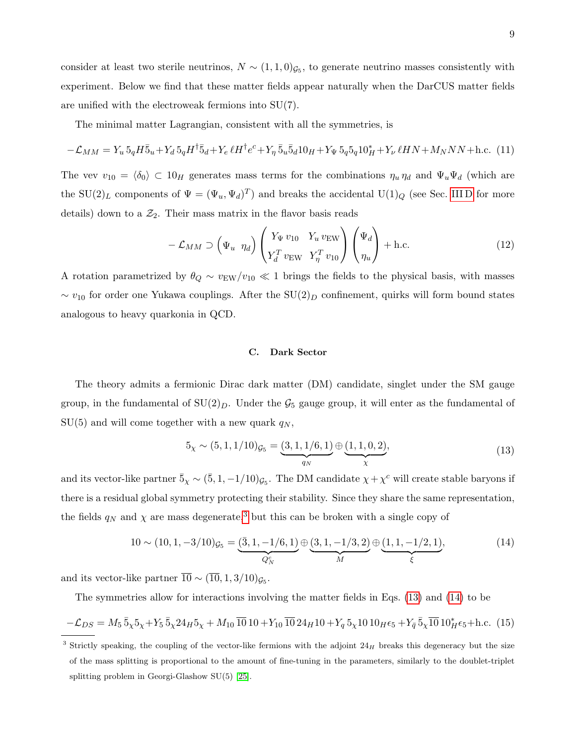consider at least two sterile neutrinos,  $N \sim (1, 1, 0)$ <sub> $\mathcal{G}_5$ </sub>, to generate neutrino masses consistently with experiment. Below we find that these matter fields appear naturally when the DarCUS matter fields are unified with the electroweak fermions into SU(7).

The minimal matter Lagrangian, consistent with all the symmetries, is

$$
-\mathcal{L}_{MM} = Y_u 5_q H \bar{5}_u + Y_d 5_q H^{\dagger} \bar{5}_d + Y_e \ell H^{\dagger} e^c + Y_\eta 5_u \bar{5}_d 10_H + Y_\Psi 5_q 5_q 10_H^* + Y_\nu \ell H N + M_N N N + \text{h.c. (11)}
$$

The vev  $v_{10} = \langle \delta_0 \rangle \subset 10_H$  generates mass terms for the combinations  $\eta_u \eta_d$  and  $\Psi_u \Psi_d$  (which are the SU(2)<sub>L</sub> components of  $\Psi = (\Psi_u, \Psi_d)^T$  and breaks the accidental U(1)<sub>Q</sub> (see Sec. [III D](#page-9-0) for more details) down to a  $\mathcal{Z}_2$ . Their mass matrix in the flavor basis reads

$$
-\mathcal{L}_{MM} \supset \left(\Psi_u \eta_d\right) \begin{pmatrix} Y_{\Psi} \, v_{10} & Y_u \, v_{\text{EW}} \\ Y_d^T \, v_{\text{EW}} & Y_\eta^T \, v_{10} \end{pmatrix} \begin{pmatrix} \Psi_d \\ \eta_u \end{pmatrix} + \text{h.c.} \tag{12}
$$

A rotation parametrized by  $\theta_Q \sim v_{EW}/v_{10} \ll 1$  brings the fields to the physical basis, with masses  $\sim v_{10}$  for order one Yukawa couplings. After the SU(2)<sub>D</sub> confinement, quirks will form bound states analogous to heavy quarkonia in QCD.

# <span id="page-8-0"></span>C. Dark Sector

The theory admits a fermionic Dirac dark matter (DM) candidate, singlet under the SM gauge group, in the fundamental of  $SU(2)_D$ . Under the  $\mathcal{G}_5$  gauge group, it will enter as the fundamental of  $SU(5)$  and will come together with a new quark  $q_N$ ,

$$
5_{\chi} \sim (5, 1, 1/10)g_5 = \underbrace{(3, 1, 1/6, 1)}_{q_N} \oplus \underbrace{(1, 1, 0, 2)}_{\chi},\tag{13}
$$

<span id="page-8-2"></span>and its vector-like partner  $\bar{5}_\chi \sim (\bar{5}, 1, -1/10)_{\mathcal{G}_5}$ . The DM candidate  $\chi + \chi^c$  will create stable baryons if there is a residual global symmetry protecting their stability. Since they share the same representation, the fields  $q_N$  and  $\chi$  are mass degenerate,<sup>[3](#page-8-1)</sup> but this can be broken with a single copy of

<span id="page-8-3"></span>
$$
10 \sim (10, 1, -3/10)g_5 = \underbrace{(3, 1, -1/6, 1)}_{Q_N^c} \oplus \underbrace{(3, 1, -1/3, 2)}_{M} \oplus \underbrace{(1, 1, -1/2, 1)}_{\xi},
$$
\n(14)

and its vector-like partner  $10 \sim (10, 1, 3/10)_{\mathcal{G}_5}$ .

The symmetries allow for interactions involving the matter fields in Eqs. [\(13\)](#page-8-2) and [\(14\)](#page-8-3) to be

$$
-\mathcal{L}_{DS} = M_5 \bar{5}_\chi 5_\chi + Y_5 \bar{5}_\chi 24_H 5_\chi + M_{10} \bar{10} 10 + Y_{10} \bar{10} 24_H 10 + Y_q 5_\chi 10 10_H \epsilon_5 + Y_{\bar{q}} \bar{5}_\chi \bar{10} 10_H^* \epsilon_5 + \text{h.c.} (15)
$$

<span id="page-8-1"></span> $3$  Strictly speaking, the coupling of the vector-like fermions with the adjoint  $24<sub>H</sub>$  breaks this degeneracy but the size of the mass splitting is proportional to the amount of fine-tuning in the parameters, similarly to the doublet-triplet splitting problem in Georgi-Glashow SU(5) [\[25\]](#page-30-18).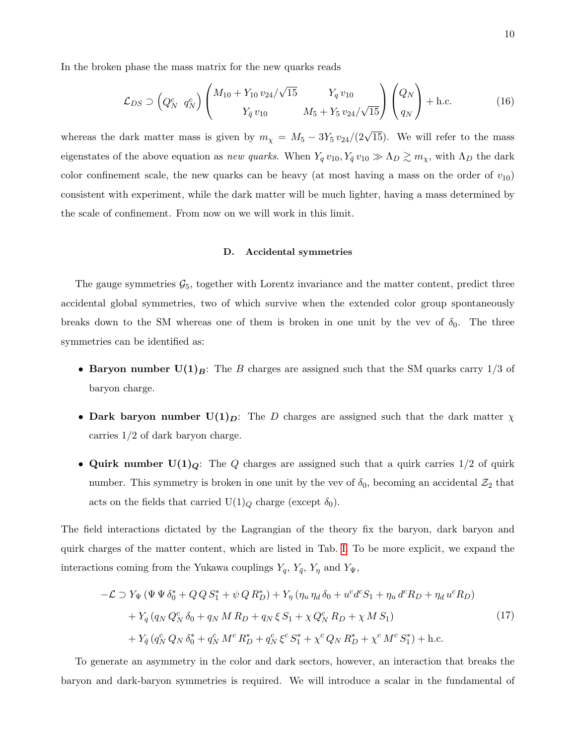In the broken phase the mass matrix for the new quarks reads

$$
\mathcal{L}_{DS} \supset \left(Q_N^c \ q_N^c\right) \left(\begin{array}{cc} M_{10} + Y_{10} v_{24} / \sqrt{15} & Y_q v_{10} \\ Y_{\bar{q}} v_{10} & M_5 + Y_5 v_{24} / \sqrt{15} \end{array}\right) \left(\begin{array}{c} Q_N \\ q_N \end{array}\right) + \text{h.c.}
$$
 (16)

whereas the dark matter mass is given by  $m_{\chi} = M_5 - 3Y_5 v_{24}/(2\sqrt{15})$ . We will refer to the mass eigenstates of the above equation as new quarks. When  $Y_q v_{10}$ ,  $Y_{\bar{q}} v_{10} \gg \Lambda_D \gtrsim m_\chi$ , with  $\Lambda_D$  the dark color confinement scale, the new quarks can be heavy (at most having a mass on the order of  $v_{10}$ ) consistent with experiment, while the dark matter will be much lighter, having a mass determined by the scale of confinement. From now on we will work in this limit.

#### <span id="page-9-0"></span>D. Accidental symmetries

The gauge symmetries  $\mathcal{G}_5$ , together with Lorentz invariance and the matter content, predict three accidental global symmetries, two of which survive when the extended color group spontaneously breaks down to the SM whereas one of them is broken in one unit by the vev of  $\delta_0$ . The three symmetries can be identified as:

- Baryon number  $U(1)_B$ : The B charges are assigned such that the SM quarks carry  $1/3$  of baryon charge.
- Dark baryon number  $U(1)_D$ : The D charges are assigned such that the dark matter  $\chi$ carries 1/2 of dark baryon charge.
- Quirk number  $U(1)<sub>Q</sub>$ : The Q charges are assigned such that a quirk carries  $1/2$  of quirk number. This symmetry is broken in one unit by the vev of  $\delta_0$ , becoming an accidental  $\mathcal{Z}_2$  that acts on the fields that carried  $U(1)_Q$  charge (except  $\delta_0$ ).

The field interactions dictated by the Lagrangian of the theory fix the baryon, dark baryon and quirk charges of the matter content, which are listed in Tab. [I.](#page-10-0) To be more explicit, we expand the interactions coming from the Yukawa couplings  $Y_q$ ,  $Y_{\bar{q}}$ ,  $Y_{\eta}$  and  $Y_{\Psi}$ ,

<span id="page-9-1"></span>
$$
-\mathcal{L} \supset Y_{\Psi} (\Psi \Psi \delta_{0}^{*} + Q Q S_{1}^{*} + \psi Q R_{D}^{*}) + Y_{\eta} (\eta_{u} \eta_{d} \delta_{0} + u^{c} d^{c} S_{1} + \eta_{u} d^{c} R_{D} + \eta_{d} u^{c} R_{D})
$$
  
+  $Y_{q} (q_{N} Q_{N}^{c} \delta_{0} + q_{N} M R_{D} + q_{N} \xi S_{1} + \chi Q_{N}^{c} R_{D} + \chi M S_{1})$   
+  $Y_{\bar{q}} (q_{N}^{c} Q_{N} \delta_{0}^{*} + q_{N}^{c} M^{c} R_{D}^{*} + q_{N}^{c} \xi^{c} S_{1}^{*} + \chi^{c} Q_{N} R_{D}^{*} + \chi^{c} M^{c} S_{1}^{*}) + \text{h.c.}$  (17)

To generate an asymmetry in the color and dark sectors, however, an interaction that breaks the baryon and dark-baryon symmetries is required. We will introduce a scalar in the fundamental of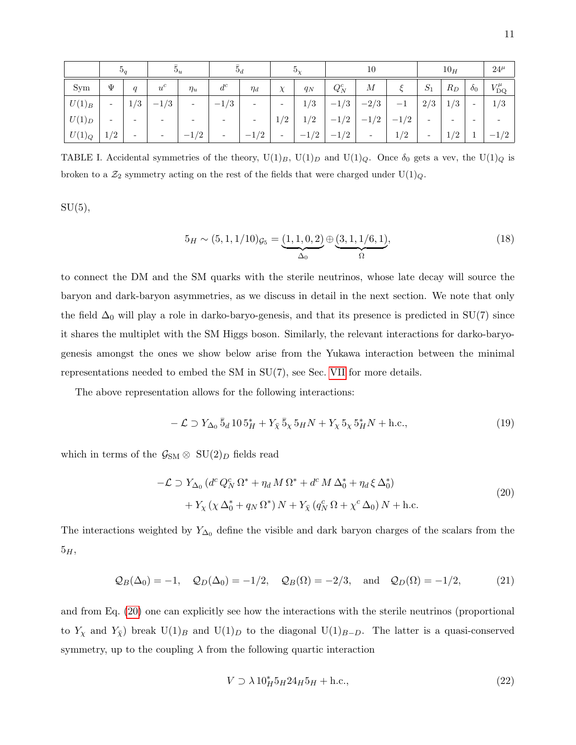|          | $\mathfrak{d}_a$         |                          | $5_d$<br>$5_u$<br>$\mathfrak{d}_{\mathcal{V}}$ |                          |                          | 10                       |                          |        | 10 <sub>H</sub> |                          |        | $24^{\mu}$               |                          |                          |                       |
|----------|--------------------------|--------------------------|------------------------------------------------|--------------------------|--------------------------|--------------------------|--------------------------|--------|-----------------|--------------------------|--------|--------------------------|--------------------------|--------------------------|-----------------------|
| Sym      | Ψ                        | $\mathfrak{a}$           | $u^c$                                          | $\eta_u$                 | $d^c$                    | $\eta_d$                 | $\chi$                   | $q_N$  | $Q_N^c$         | М                        |        | $S_1$                    | $R_D$                    | $\delta_0$               | $V_{\text{DQ}}^{\mu}$ |
| $U(1)_B$ | -                        | 1/3                      | $-1/3$                                         | $\overline{\phantom{a}}$ | /3<br>$-1$ ,             | $\overline{\phantom{0}}$ | $\overline{\phantom{a}}$ | 1/3    | $-1/3$          | $-2/3$                   | $-1$   | 2/3                      | 1/3                      | $\overline{\phantom{a}}$ | 1/3                   |
| $U(1)_D$ | $\overline{\phantom{0}}$ | -                        | $\overline{\phantom{0}}$                       | $\overline{\phantom{0}}$ | $\overline{\phantom{0}}$ | $\overline{\phantom{0}}$ | $\sqrt{2}$               | 1/2    | $-1/2$          | $-1/2$                   | $-1/2$ | $\overline{\phantom{a}}$ | $\overline{\phantom{0}}$ | $\overline{\phantom{0}}$ |                       |
| $U(1)_Q$ | 1/2                      | $\overline{\phantom{0}}$ | $\overline{\phantom{a}}$                       | $-1/2$                   | $\overline{\phantom{a}}$ | $-1/2$                   | $\overline{\phantom{a}}$ | $-1/2$ | $-1/2$          | $\overline{\phantom{0}}$ | 1/2    | $\overline{\phantom{a}}$ | 1/2                      |                          | /2<br>$-1$            |

<span id="page-10-0"></span>TABLE I. Accidental symmetries of the theory,  $U(1)_B$ ,  $U(1)_D$  and  $U(1)_Q$ . Once  $\delta_0$  gets a vev, the  $U(1)_Q$  is broken to a  $\mathcal{Z}_2$  symmetry acting on the rest of the fields that were charged under  $U(1)_Q$ .

 $SU(5)$ ,

$$
5_H \sim (5, 1, 1/10)g_5 = (1, 1, 0, 2) \oplus (3, 1, 1/6, 1),
$$
  

$$
\Delta_0 \qquad \qquad \Omega
$$
 (18)

to connect the DM and the SM quarks with the sterile neutrinos, whose late decay will source the baryon and dark-baryon asymmetries, as we discuss in detail in the next section. We note that only the field  $\Delta_0$  will play a role in darko-baryo-genesis, and that its presence is predicted in SU(7) since it shares the multiplet with the SM Higgs boson. Similarly, the relevant interactions for darko-baryogenesis amongst the ones we show below arise from the Yukawa interaction between the minimal representations needed to embed the SM in  $SU(7)$ , see Sec. [VII](#page-27-0) for more details.

The above representation allows for the following interactions:

$$
- \mathcal{L} \supset Y_{\Delta_0} \bar{5}_d 10 5_H^* + Y_{\bar{\chi}} \bar{5}_\chi 5_H N + Y_\chi 5_\chi 5_H^* N + \text{h.c.}, \tag{19}
$$

<span id="page-10-1"></span>which in terms of the  $\mathcal{G}_{\text{SM}} \otimes \text{SU}(2)_D$  fields read

$$
-\mathcal{L} \supset Y_{\Delta_0} (d^c Q_N^c \Omega^* + \eta_d M \Omega^* + d^c M \Delta_0^* + \eta_d \xi \Delta_0^*)
$$
  
+ 
$$
Y_{\chi} (\chi \Delta_0^* + q_N \Omega^*) N + Y_{\bar{\chi}} (q_N^c \Omega + \chi^c \Delta_0) N + \text{h.c.}
$$
 (20)

The interactions weighted by  $Y_{\Delta_0}$  define the visible and dark baryon charges of the scalars from the  $5_H$ ,

$$
Q_B(\Delta_0) = -1
$$
,  $Q_D(\Delta_0) = -1/2$ ,  $Q_B(\Omega) = -2/3$ , and  $Q_D(\Omega) = -1/2$ , (21)

and from Eq. [\(20\)](#page-10-1) one can explicitly see how the interactions with the sterile neutrinos (proportional to  $Y_\chi$  and  $Y_{\bar{\chi}}$  break U(1)<sub>B</sub> and U(1)<sub>D</sub> to the diagonal U(1)<sub>B−D</sub>. The latter is a quasi-conserved symmetry, up to the coupling  $\lambda$  from the following quartic interaction

$$
V \supset \lambda 10_H^* 5_H 24_H 5_H + \text{h.c.},\tag{22}
$$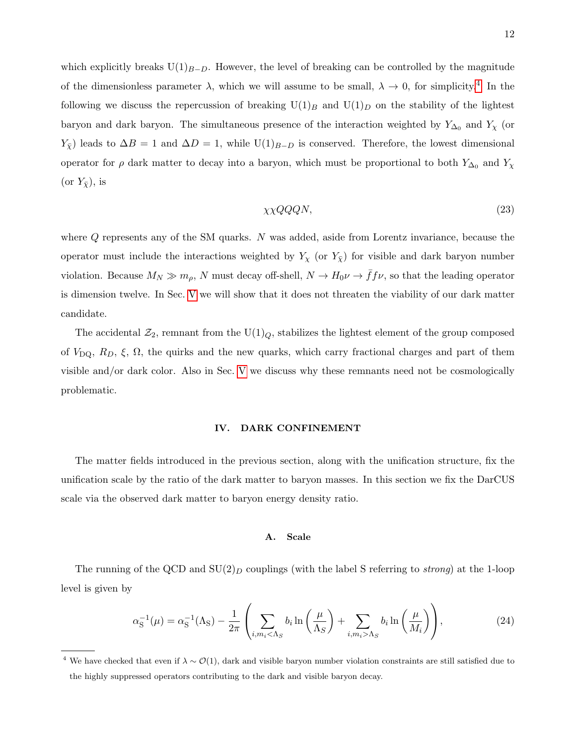which explicitly breaks  $U(1)_{B-D}$ . However, the level of breaking can be controlled by the magnitude of the dimensionless parameter  $\lambda$ , which we will assume to be small,  $\lambda \to 0$ , for simplicity.<sup>[4](#page-11-2)</sup> In the following we discuss the repercussion of breaking  $U(1)_B$  and  $U(1)_D$  on the stability of the lightest baryon and dark baryon. The simultaneous presence of the interaction weighted by  $Y_{\Delta_0}$  and  $Y_{\chi}$  (or  $Y_{\bar{X}}$ ) leads to  $\Delta B = 1$  and  $\Delta D = 1$ , while U(1)<sub>B−D</sub> is conserved. Therefore, the lowest dimensional operator for  $\rho$  dark matter to decay into a baryon, which must be proportional to both  $Y_{\Delta_0}$  and  $Y_{\chi}$ (or  $Y_{\bar{X}}$ ), is

$$
\chi \chi Q Q Q N, \tag{23}
$$

where  $Q$  represents any of the SM quarks. N was added, aside from Lorentz invariance, because the operator must include the interactions weighted by  $Y_\chi$  (or  $Y_{\bar{\chi}}$ ) for visible and dark baryon number violation. Because  $M_N \gg m_\rho$ , N must decay off-shell,  $N \to H_0 \nu \to \bar f f \nu$ , so that the leading operator is dimension twelve. In Sec. [V](#page-15-0) we will show that it does not threaten the viability of our dark matter candidate.

The accidental  $\mathcal{Z}_2$ , remnant from the U(1)<sub>Q</sub>, stabilizes the lightest element of the group composed of  $V_{\text{DQ}}$ ,  $R_D$ ,  $\xi$ ,  $\Omega$ , the quirks and the new quarks, which carry fractional charges and part of them visible and/or dark color. Also in Sec. [V](#page-15-0) we discuss why these remnants need not be cosmologically problematic.

# <span id="page-11-0"></span>IV. DARK CONFINEMENT

The matter fields introduced in the previous section, along with the unification structure, fix the unification scale by the ratio of the dark matter to baryon masses. In this section we fix the DarCUS scale via the observed dark matter to baryon energy density ratio.

# <span id="page-11-1"></span>A. Scale

The running of the QCD and  $SU(2)_D$  couplings (with the label S referring to *strong*) at the 1-loop level is given by

$$
\alpha_{\rm S}^{-1}(\mu) = \alpha_{\rm S}^{-1}(\Lambda_{\rm S}) - \frac{1}{2\pi} \left( \sum_{i,m_i < \Lambda_S} b_i \ln\left(\frac{\mu}{\Lambda_S}\right) + \sum_{i,m_i > \Lambda_S} b_i \ln\left(\frac{\mu}{M_i}\right) \right),\tag{24}
$$

<span id="page-11-2"></span><sup>&</sup>lt;sup>4</sup> We have checked that even if  $\lambda \sim \mathcal{O}(1)$ , dark and visible baryon number violation constraints are still satisfied due to the highly suppressed operators contributing to the dark and visible baryon decay.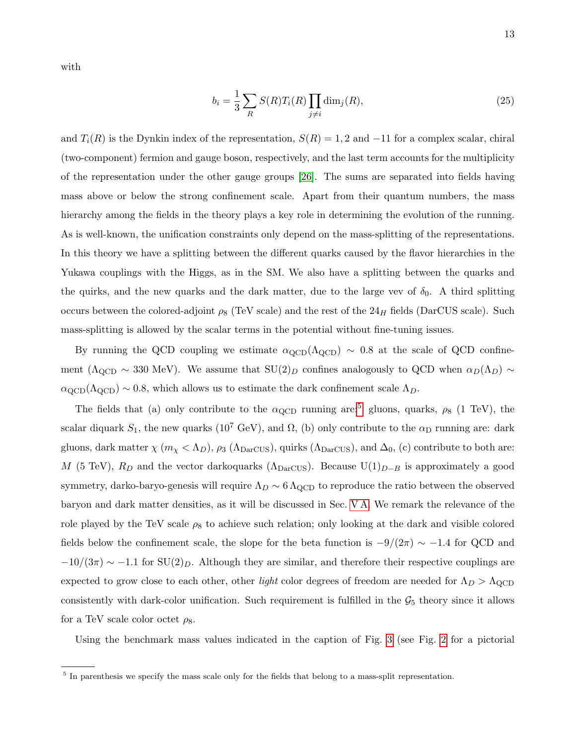with

$$
b_i = \frac{1}{3} \sum_{R} S(R) T_i(R) \prod_{j \neq i} \dim_j(R), \qquad (25)
$$

and  $T_i(R)$  is the Dynkin index of the representation,  $S(R) = 1, 2$  and  $-11$  for a complex scalar, chiral (two-component) fermion and gauge boson, respectively, and the last term accounts for the multiplicity of the representation under the other gauge groups [\[26\]](#page-30-19). The sums are separated into fields having mass above or below the strong confinement scale. Apart from their quantum numbers, the mass hierarchy among the fields in the theory plays a key role in determining the evolution of the running. As is well-known, the unification constraints only depend on the mass-splitting of the representations. In this theory we have a splitting between the different quarks caused by the flavor hierarchies in the Yukawa couplings with the Higgs, as in the SM. We also have a splitting between the quarks and the quirks, and the new quarks and the dark matter, due to the large vev of  $\delta_0$ . A third splitting occurs between the colored-adjoint  $\rho_8$  (TeV scale) and the rest of the 24H fields (DarCUS scale). Such mass-splitting is allowed by the scalar terms in the potential without fine-tuning issues.

By running the QCD coupling we estimate  $\alpha_{\text{QCD}}(\Lambda_{\text{QCD}}) \sim 0.8$  at the scale of QCD confinement ( $\Lambda_{\rm QCD} \sim 330$  MeV). We assume that  $SU(2)_D$  confines analogously to QCD when  $\alpha_D(\Lambda_D) \sim$  $\alpha_{\rm QCD}(\Lambda_{\rm QCD}) \sim 0.8$ , which allows us to estimate the dark confinement scale  $\Lambda_D$ .

The fields that (a) only contribute to the  $\alpha_{\text{QCD}}$  running are:<sup>[5](#page-12-0)</sup> gluons, quarks,  $\rho_8$  (1 TeV), the scalar diquark  $S_1$ , the new quarks (10<sup>7</sup> GeV), and  $\Omega$ , (b) only contribute to the  $\alpha_D$  running are: dark gluons, dark matter  $\chi$  ( $m_\chi < \Lambda_D$ ),  $\rho_3$  ( $\Lambda_{\text{DarCUS}}$ ), quirks ( $\Lambda_{\text{DarCUS}}$ ), and  $\Delta_0$ , (c) contribute to both are: M (5 TeV),  $R_D$  and the vector darkoquarks ( $\Lambda_{\text{DarCUS}}$ ). Because U(1)<sub>D−B</sub> is approximately a good symmetry, darko-baryo-genesis will require  $\Lambda_D \sim 6 \Lambda_{\rm QCD}$  to reproduce the ratio between the observed baryon and dark matter densities, as it will be discussed in Sec. [V A.](#page-15-1) We remark the relevance of the role played by the TeV scale  $\rho_8$  to achieve such relation; only looking at the dark and visible colored fields below the confinement scale, the slope for the beta function is  $-9/(2\pi) \sim -1.4$  for QCD and  $-10/(3\pi) \sim -1.1$  for  $SU(2)_D$ . Although they are similar, and therefore their respective couplings are expected to grow close to each other, other *light* color degrees of freedom are needed for  $\Lambda_D > \Lambda_{\rm QCD}$ consistently with dark-color unification. Such requirement is fulfilled in the  $\mathcal{G}_5$  theory since it allows for a TeV scale color octet  $\rho_8$ .

Using the benchmark mass values indicated in the caption of Fig. [3](#page-13-1) (see Fig. [2](#page-6-2) for a pictorial

<span id="page-12-0"></span><sup>&</sup>lt;sup>5</sup> In parenthesis we specify the mass scale only for the fields that belong to a mass-split representation.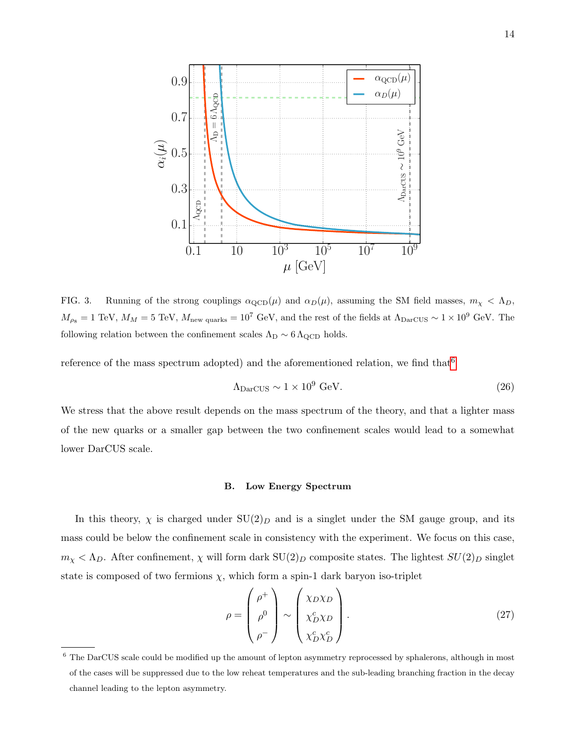

<span id="page-13-1"></span>FIG. 3. Running of the strong couplings  $\alpha_{\text{QCD}}(\mu)$  and  $\alpha_D(\mu)$ , assuming the SM field masses,  $m_\chi < \Lambda_D$ ,  $M_{\rho_8} = 1 \text{ TeV}, M_M = 5 \text{ TeV}, M_{\text{new quarks}} = 10^7 \text{ GeV}, \text{ and the rest of the fields at } \Lambda_{\text{DarCUS}} \sim 1 \times 10^9 \text{ GeV}.$  The following relation between the confinement scales  $\Lambda_D \sim 6 \Lambda_{\rm QCD}$  holds.

reference of the mass spectrum adopted) and the aforementioned relation, we find that  $6$ 

$$
\Lambda_{\text{DarCUS}} \sim 1 \times 10^9 \text{ GeV}.\tag{26}
$$

We stress that the above result depends on the mass spectrum of the theory, and that a lighter mass of the new quarks or a smaller gap between the two confinement scales would lead to a somewhat lower DarCUS scale.

## <span id="page-13-0"></span>B. Low Energy Spectrum

In this theory,  $\chi$  is charged under  $SU(2)_D$  and is a singlet under the SM gauge group, and its mass could be below the confinement scale in consistency with the experiment. We focus on this case,  $m_{\chi} < \Lambda_D$ . After confinement,  $\chi$  will form dark  $SU(2)_D$  composite states. The lightest  $SU(2)_D$  singlet state is composed of two fermions  $\chi$ , which form a spin-1 dark baryon iso-triplet

$$
\rho = \begin{pmatrix} \rho^+ \\ \rho^0 \\ \rho^- \end{pmatrix} \sim \begin{pmatrix} \chi_D \chi_D \\ \chi_D^c \chi_D^c \\ \chi_D^c \chi_D^c \end{pmatrix} . \tag{27}
$$

<span id="page-13-2"></span><sup>&</sup>lt;sup>6</sup> The DarCUS scale could be modified up the amount of lepton asymmetry reprocessed by sphalerons, although in most of the cases will be suppressed due to the low reheat temperatures and the sub-leading branching fraction in the decay channel leading to the lepton asymmetry.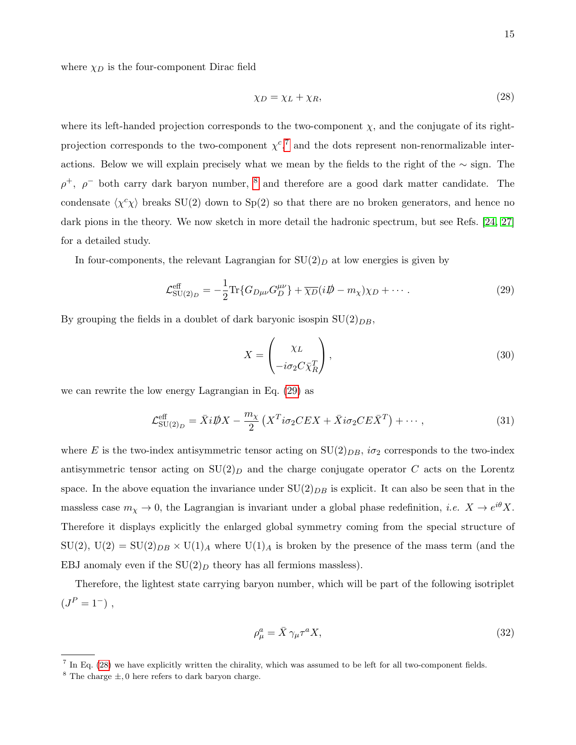15

where  $\chi_D$  is the four-component Dirac field

<span id="page-14-3"></span>
$$
\chi_D = \chi_L + \chi_R,\tag{28}
$$

where its left-handed projection corresponds to the two-component  $\chi$ , and the conjugate of its rightprojection corresponds to the two-component  $\chi^{c}$ ,<sup>[7](#page-14-0)</sup> and the dots represent non-renormalizable interactions. Below we will explain precisely what we mean by the fields to the right of the ∼ sign. The  $\rho^+$ ,  $\rho^-$  both carry dark baryon number, <sup>[8](#page-14-1)</sup> and therefore are a good dark matter candidate. The condensate  $\langle \chi^c \chi \rangle$  breaks SU(2) down to Sp(2) so that there are no broken generators, and hence no dark pions in the theory. We now sketch in more detail the hadronic spectrum, but see Refs. [\[24,](#page-30-17) [27\]](#page-30-20) for a detailed study.

In four-components, the relevant Lagrangian for  $SU(2)_D$  at low energies is given by

<span id="page-14-2"></span>
$$
\mathcal{L}_{\text{SU}(2)_D}^{\text{eff}} = -\frac{1}{2} \text{Tr} \{ G_{D\mu\nu} G_D^{\mu\nu} \} + \overline{\chi_D} (i \not{D} - m_\chi) \chi_D + \cdots. \tag{29}
$$

By grouping the fields in a doublet of dark baryonic isospin  $SU(2)_{DB}$ ,

$$
X = \begin{pmatrix} \chi_L \\ -i\sigma_2 C \bar{\chi}_R^T \end{pmatrix},\tag{30}
$$

we can rewrite the low energy Lagrangian in Eq. [\(29\)](#page-14-2) as

$$
\mathcal{L}_{\text{SU}(2)_D}^{\text{eff}} = \bar{X}i\rlap{\,/}DX - \frac{m_\chi}{2} \left( X^T i\sigma_2 CEX + \bar{X}i\sigma_2 CE\bar{X}^T \right) + \cdots, \tag{31}
$$

where E is the two-index antisymmetric tensor acting on  $SU(2)_{DB}$ ,  $i\sigma_2$  corresponds to the two-index antisymmetric tensor acting on  $SU(2)_D$  and the charge conjugate operator C acts on the Lorentz space. In the above equation the invariance under  $SU(2)_{DB}$  is explicit. It can also be seen that in the massless case  $m_X \to 0$ , the Lagrangian is invariant under a global phase redefinition, *i.e.*  $X \to e^{i\theta} X$ . Therefore it displays explicitly the enlarged global symmetry coming from the special structure of  $SU(2)$ ,  $U(2) = SU(2)_{DB} \times U(1)_A$  where  $U(1)_A$  is broken by the presence of the mass term (and the EBJ anomaly even if the  $SU(2)_D$  theory has all fermions massless).

Therefore, the lightest state carrying baryon number, which will be part of the following isotriplet  $(J^P = 1^-)$ ,

$$
\rho^a_\mu = \bar{X} \gamma_\mu \tau^a X,\tag{32}
$$

<span id="page-14-1"></span><span id="page-14-0"></span><sup>&</sup>lt;sup>7</sup> In Eq. [\(28\)](#page-14-3) we have explicitly written the chirality, which was assumed to be left for all two-component fields.

<sup>&</sup>lt;sup>8</sup> The charge  $\pm$ , 0 here refers to dark baryon charge.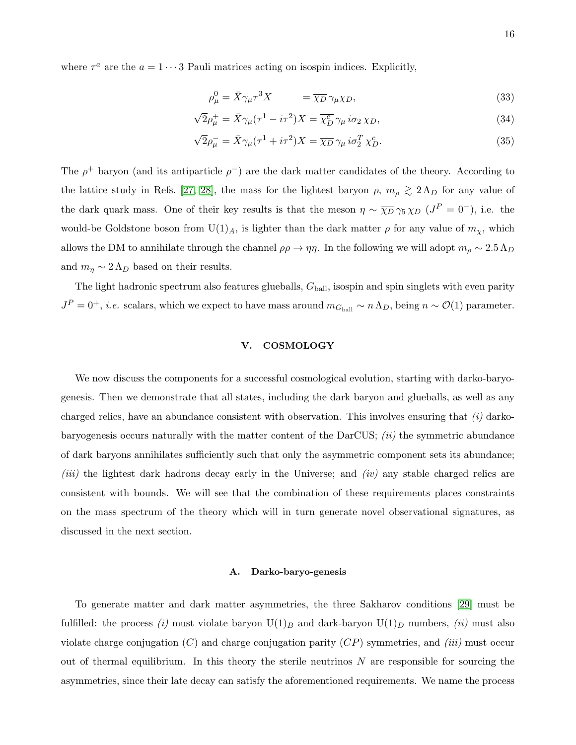where  $\tau^a$  are the  $a = 1 \cdots 3$  Pauli matrices acting on isospin indices. Explicitly,

<span id="page-15-2"></span>
$$
\rho^0_\mu = \bar{X}\gamma_\mu \tau^3 X \qquad \qquad = \overline{\chi_D} \gamma_\mu \chi_D,\tag{33}
$$

$$
\sqrt{2}\rho_{\mu}^{+} = \bar{X}\gamma_{\mu}(\tau^{1} - i\tau^{2})X = \overline{\chi_{D}^{c}}\gamma_{\mu}i\sigma_{2}\chi_{D},\tag{34}
$$

$$
\sqrt{2}\rho_{\mu}^{-} = \bar{X}\gamma_{\mu}(\tau^{1} + i\tau^{2})X = \overline{\chi_{D}}\gamma_{\mu}i\sigma_{2}^{T}\chi_{D}^{c}.
$$
\n(35)

The  $\rho^+$  baryon (and its antiparticle  $\rho^-$ ) are the dark matter candidates of the theory. According to the lattice study in Refs. [\[27,](#page-30-20) [28\]](#page-30-21), the mass for the lightest baryon  $\rho$ ,  $m_{\rho} \gtrsim 2 \Lambda_D$  for any value of the dark quark mass. One of their key results is that the meson  $\eta \sim \overline{\chi_D} \gamma_5 \chi_D$  ( $J^P = 0^-$ ), i.e. the would-be Goldstone boson from  $U(1)_A$ , is lighter than the dark matter  $\rho$  for any value of  $m_\chi$ , which allows the DM to annihilate through the channel  $\rho \rho \to \eta \eta$ . In the following we will adopt  $m_\rho \sim 2.5 \Lambda_D$ and  $m_{\eta} \sim 2 \Lambda_D$  based on their results.

The light hadronic spectrum also features glueballs,  $G_{\text{ball}}$ , isospin and spin singlets with even parity  $J^P = 0^+, i.e.$  scalars, which we expect to have mass around  $m_{G_{\text{ball}}} \sim n \Lambda_D$ , being  $n \sim \mathcal{O}(1)$  parameter.

## <span id="page-15-0"></span>V. COSMOLOGY

We now discuss the components for a successful cosmological evolution, starting with darko-baryogenesis. Then we demonstrate that all states, including the dark baryon and glueballs, as well as any charged relics, have an abundance consistent with observation. This involves ensuring that  $(i)$  darkobaryogenesis occurs naturally with the matter content of the DarCUS;  $(ii)$  the symmetric abundance of dark baryons annihilates sufficiently such that only the asymmetric component sets its abundance; (iii) the lightest dark hadrons decay early in the Universe; and (iv) any stable charged relics are consistent with bounds. We will see that the combination of these requirements places constraints on the mass spectrum of the theory which will in turn generate novel observational signatures, as discussed in the next section.

# <span id="page-15-1"></span>A. Darko-baryo-genesis

To generate matter and dark matter asymmetries, the three Sakharov conditions [\[29\]](#page-30-22) must be fulfilled: the process (i) must violate baryon  $U(1)_B$  and dark-baryon  $U(1)_D$  numbers, (ii) must also violate charge conjugation  $(C)$  and charge conjugation parity  $(CP)$  symmetries, and *(iii)* must occur out of thermal equilibrium. In this theory the sterile neutrinos  $N$  are responsible for sourcing the asymmetries, since their late decay can satisfy the aforementioned requirements. We name the process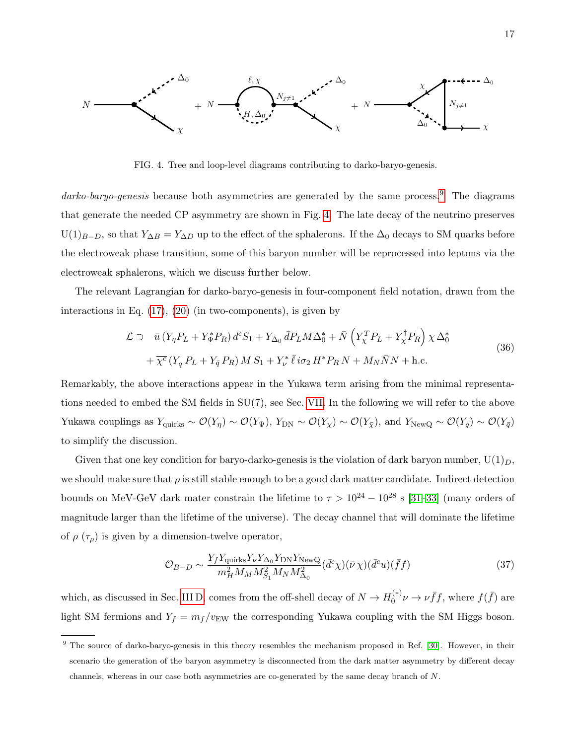

<span id="page-16-1"></span>FIG. 4. Tree and loop-level diagrams contributing to darko-baryo-genesis.

darko-baryo-genesis because both asymmetries are generated by the same process.<sup>[9](#page-16-0)</sup> The diagrams that generate the needed CP asymmetry are shown in Fig. [4.](#page-16-1) The late decay of the neutrino preserves  $U(1)_{B-D}$ , so that  $Y_{\Delta B} = Y_{\Delta D}$  up to the effect of the sphalerons. If the  $\Delta_0$  decays to SM quarks before the electroweak phase transition, some of this baryon number will be reprocessed into leptons via the electroweak sphalerons, which we discuss further below.

The relevant Lagrangian for darko-baryo-genesis in four-component field notation, drawn from the interactions in Eq. [\(17\)](#page-9-1), [\(20\)](#page-10-1) (in two-components), is given by

$$
\mathcal{L} \supset \bar{u} \left( Y_{\eta} P_L + Y_{\Psi}^* P_R \right) d^c S_1 + Y_{\Delta_0} \bar{d} P_L M \Delta_0^* + \bar{N} \left( Y_{\chi}^T P_L + Y_{\bar{\chi}}^{\dagger} P_R \right) \chi \Delta_0^*
$$
  
+ 
$$
\overline{\chi^c} \left( Y_q P_L + Y_{\bar{q}} P_R \right) M S_1 + Y_{\nu}^* \bar{\ell} i \sigma_2 H^* P_R N + M_N \bar{N} N + \text{h.c.}
$$
\n(36)

Remarkably, the above interactions appear in the Yukawa term arising from the minimal representations needed to embed the SM fields in SU(7), see Sec. [VII.](#page-27-0) In the following we will refer to the above Yukawa couplings as  $Y_{\text{quirks}} \sim \mathcal{O}(Y_{\eta}) \sim \mathcal{O}(Y_{\Psi})$ ,  $Y_{\text{DN}} \sim \mathcal{O}(Y_{\chi}) \sim \mathcal{O}(Y_{\overline{\chi}})$ , and  $Y_{\text{NewQ}} \sim \mathcal{O}(Y_{\overline{q}}) \sim \mathcal{O}(Y_{\overline{q}})$ to simplify the discussion.

Given that one key condition for baryo-darko-genesis is the violation of dark baryon number,  $U(1)_D$ , we should make sure that  $\rho$  is still stable enough to be a good dark matter candidate. Indirect detection bounds on MeV-GeV dark mater constrain the lifetime to  $\tau > 10^{24} - 10^{28}$  s [\[31](#page-30-23)[–33\]](#page-30-24) (many orders of magnitude larger than the lifetime of the universe). The decay channel that will dominate the lifetime of  $\rho(\tau_{\rho})$  is given by a dimension-twelve operator,

$$
\mathcal{O}_{B-D} \sim \frac{Y_f Y_{\text{quirks}} Y_{\nu} Y_{\Delta_0} Y_{\text{DN}} Y_{\text{NewQ}}}{m_H^2 M_M M_{S_1}^2 M_N M_{\Delta_0}^2} (\bar{d}^c \chi)(\bar{\nu} \chi)(\bar{d}^c u)(\bar{f}f) \tag{37}
$$

which, as discussed in Sec. [III D,](#page-9-0) comes from the off-shell decay of  $N \to H_0^{(*)}$  $v_0^{(*)}\nu \to \nu \bar{f}f$ , where  $f(\bar{f})$  are light SM fermions and  $Y_f = m_f/v_{\text{EW}}$  the corresponding Yukawa coupling with the SM Higgs boson.

<span id="page-16-0"></span><sup>&</sup>lt;sup>9</sup> The source of darko-baryo-genesis in this theory resembles the mechanism proposed in Ref. [\[30\]](#page-30-25). However, in their scenario the generation of the baryon asymmetry is disconnected from the dark matter asymmetry by different decay channels, whereas in our case both asymmetries are co-generated by the same decay branch of N.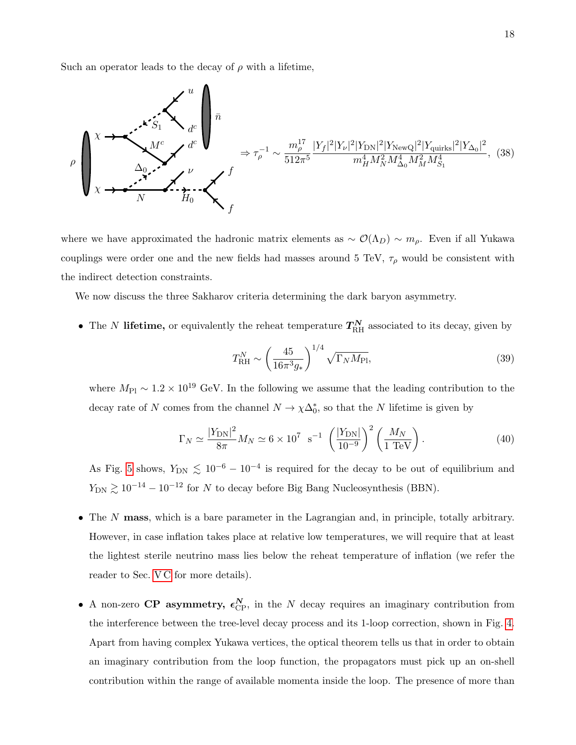Such an operator leads to the decay of  $\rho$  with a lifetime,

$$
\rho \left( \begin{array}{ccc} \lambda & \lambda & \lambda & \lambda^{c} \\ \lambda & \lambda^{c} & \lambda^{c} \\ \lambda & \lambda^{c} & \lambda^{c} \\ \lambda & \lambda & \lambda^{c} \\ \lambda & \lambda & \lambda^{c} \\ \lambda & \lambda & \lambda^{c} \\ \lambda & \lambda & \lambda^{c} \\ \lambda & \lambda & \lambda^{c} \\ \lambda & \lambda & \lambda^{c} \\ \lambda & \lambda & \lambda^{c} \\ \lambda & \lambda & \lambda^{c} \\ \lambda & \lambda & \lambda^{c} \\ \lambda & \lambda & \lambda^{c} \\ \lambda & \lambda & \lambda^{c} \\ \lambda & \lambda & \lambda^{c} \\ \lambda & \lambda & \lambda^{c} \\ \lambda & \lambda & \lambda^{c} \\ \lambda & \lambda & \lambda^{c} \\ \lambda & \lambda & \lambda^{c} \\ \lambda & \lambda & \lambda^{c} \\ \lambda & \lambda & \lambda^{c} \\ \lambda & \lambda & \lambda^{c} \\ \lambda & \lambda & \lambda^{c} \\ \lambda & \lambda & \lambda^{c} \\ \lambda & \lambda & \lambda^{c} \\ \lambda & \lambda & \lambda^{c} \\ \lambda & \lambda & \lambda^{c} \\ \lambda & \lambda & \lambda^{c} \\ \lambda & \lambda & \lambda^{c} \\ \lambda & \lambda & \lambda^{c} \\ \lambda & \lambda & \lambda^{c} \\ \lambda & \lambda & \lambda^{c} \\ \lambda & \lambda & \lambda^{c} \\ \lambda & \lambda & \lambda^{c} \\ \lambda & \lambda & \lambda^{c} \\ \lambda & \lambda & \lambda^{c} \\ \lambda & \lambda & \lambda^{c} \\ \lambda & \lambda & \lambda^{c} \\ \lambda & \lambda & \lambda^{c} \\ \lambda & \lambda & \lambda^{c} \\ \lambda & \lambda & \lambda^{c} \\ \lambda & \lambda & \lambda^{c} \\ \lambda & \lambda & \lambda^{c} \\ \lambda & \lambda & \lambda^{c} \\ \lambda & \lambda & \lambda & \lambda^{c} \\ \lambda & \lambda & \lambda & \lambda^{c} \\ \lambda & \lambda & \lambda & \lambda^{c} \\ \lambda & \lambda & \lambda & \lambda^{c} \\ \lambda & \lambda & \lambda & \lambda^{c} \\ \lambda & \lambda & \lambda & \lambda^{c} \\ \lambda & \lambda & \lambda & \lambda^{c} \\ \lambda & \lambda & \lambda & \lambda^{c} \\ \lambda & \lambda & \lambda & \lambda^{c} \\ \lambda & \lambda & \lambda & \lambda^{c} \\ \lambda & \lambda & \lambda & \lambda^{c} \\ \lambda & \lambda & \lambda & \lambda^{c} \\ \lambda & \lambda & \lambda & \lambda & \lambda^{c} \\ \lambda & \lambda & \lambda & \lambda & \
$$

where we have approximated the hadronic matrix elements as  $\sim \mathcal{O}(\Lambda_D) \sim m_\rho$ . Even if all Yukawa couplings were order one and the new fields had masses around 5 TeV,  $\tau_{\rho}$  would be consistent with the indirect detection constraints.

We now discuss the three Sakharov criteria determining the dark baryon asymmetry.

• The N lifetime, or equivalently the reheat temperature  $T_{\rm RH}^N$  associated to its decay, given by

<span id="page-17-0"></span>
$$
T_{\rm RH}^N \sim \left(\frac{45}{16\pi^3 g_*}\right)^{1/4} \sqrt{\Gamma_N M_{\rm Pl}},\tag{39}
$$

where  $M_{\text{Pl}} \sim 1.2 \times 10^{19}$  GeV. In the following we assume that the leading contribution to the decay rate of N comes from the channel  $N \to \chi \Delta_0^*$ , so that the N lifetime is given by

<span id="page-17-1"></span>
$$
\Gamma_N \simeq \frac{|Y_{\rm DN}|^2}{8\pi} M_N \simeq 6 \times 10^7 \text{ s}^{-1} \left(\frac{|Y_{\rm DN}|}{10^{-9}}\right)^2 \left(\frac{M_N}{1 \text{ TeV}}\right). \tag{40}
$$

As Fig. [5](#page-18-0) shows,  $Y_{\text{DN}} \lesssim 10^{-6} - 10^{-4}$  is required for the decay to be out of equilibrium and  $Y_{\text{DN}}$   $\gtrsim 10^{-14} - 10^{-12}$  for N to decay before Big Bang Nucleosynthesis (BBN).

- The N mass, which is a bare parameter in the Lagrangian and, in principle, totally arbitrary. However, in case inflation takes place at relative low temperatures, we will require that at least the lightest sterile neutrino mass lies below the reheat temperature of inflation (we refer the reader to Sec. [V C](#page-21-0) for more details).
- A non-zero CP asymmetry,  $\epsilon_{\text{CP}}^{N}$ , in the N decay requires an imaginary contribution from the interference between the tree-level decay process and its 1-loop correction, shown in Fig. [4.](#page-16-1) Apart from having complex Yukawa vertices, the optical theorem tells us that in order to obtain an imaginary contribution from the loop function, the propagators must pick up an on-shell contribution within the range of available momenta inside the loop. The presence of more than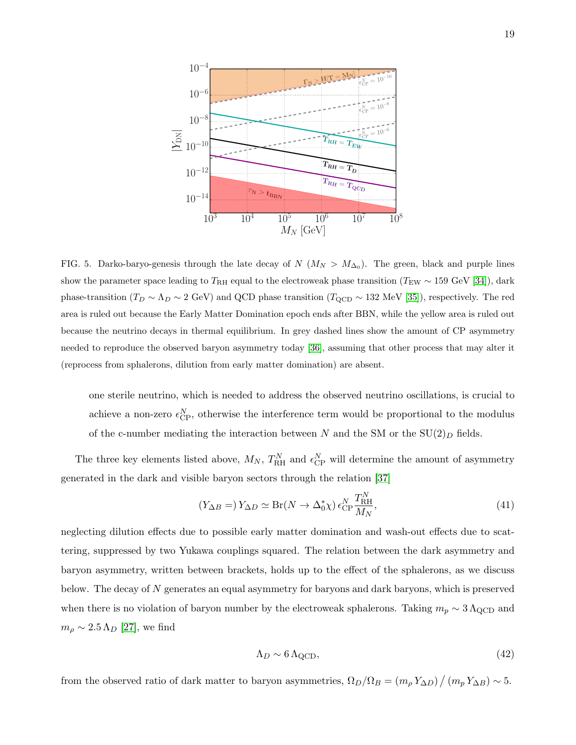

<span id="page-18-0"></span>FIG. 5. Darko-baryo-genesis through the late decay of  $N$  ( $M_N > M_{\Delta_0}$ ). The green, black and purple lines show the parameter space leading to  $T_{\rm RH}$  equal to the electroweak phase transition ( $T_{\rm EW} \sim 159$  GeV [\[34\]](#page-31-0)), dark phase-transition ( $T_D \sim \Lambda_D \sim 2$  GeV) and QCD phase transition ( $T_{\rm QCD} \sim 132$  MeV [\[35\]](#page-31-1)), respectively. The red area is ruled out because the Early Matter Domination epoch ends after BBN, while the yellow area is ruled out because the neutrino decays in thermal equilibrium. In grey dashed lines show the amount of CP asymmetry needed to reproduce the observed baryon asymmetry today [\[36\]](#page-31-2), assuming that other process that may alter it (reprocess from sphalerons, dilution from early matter domination) are absent.

one sterile neutrino, which is needed to address the observed neutrino oscillations, is crucial to achieve a non-zero  $\epsilon_{\text{CP}}^{N}$ , otherwise the interference term would be proportional to the modulus of the c-number mediating the interaction between N and the SM or the  $SU(2)_D$  fields.

The three key elements listed above,  $M_N$ ,  $T_{\rm RH}^N$  and  $\epsilon_{\rm CP}^N$  will determine the amount of asymmetry generated in the dark and visible baryon sectors through the relation [\[37\]](#page-31-3)

$$
(Y_{\Delta B} =) Y_{\Delta D} \simeq \text{Br}(N \to \Delta_0^* \chi) \epsilon_{\text{CP}}^N \frac{T_{\text{RH}}^N}{M_N},\tag{41}
$$

neglecting dilution effects due to possible early matter domination and wash-out effects due to scattering, suppressed by two Yukawa couplings squared. The relation between the dark asymmetry and baryon asymmetry, written between brackets, holds up to the effect of the sphalerons, as we discuss below. The decay of N generates an equal asymmetry for baryons and dark baryons, which is preserved when there is no violation of baryon number by the electroweak sphalerons. Taking  $m_p \sim 3 \Lambda_{\rm QCD}$  and  $m_{\rho} \sim 2.5 \,\Lambda_D$  [\[27\]](#page-30-20), we find

$$
\Lambda_D \sim 6 \,\Lambda_{\rm QCD},\tag{42}
$$

from the observed ratio of dark matter to baryon asymmetries,  $\Omega_D/\Omega_B = (m_\rho Y_{\Delta D}) / (m_p Y_{\Delta B}) \sim 5$ .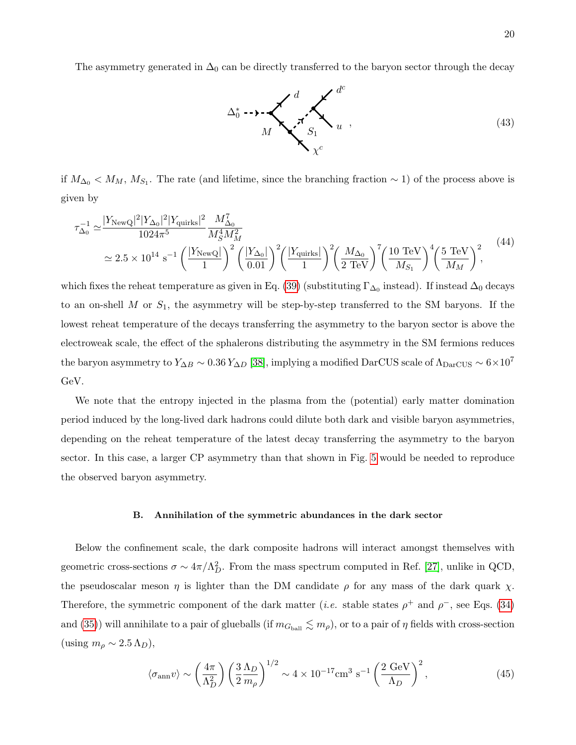The asymmetry generated in  $\Delta_0$  can be directly transferred to the baryon sector through the decay

<span id="page-19-1"></span>

if  $M_{\Delta_0}$  <  $M_M$ ,  $M_{S_1}$ . The rate (and lifetime, since the branching fraction ~ 1) of the process above is given by

<span id="page-19-2"></span>
$$
\tau_{\Delta_0}^{-1} \simeq \frac{|Y_{\text{NewQ}}|^2 |Y_{\Delta_0}|^2 |Y_{\text{quirks}}|^2}{1024\pi^5} \frac{M_{\Delta_0}^7}{M_5^4 M_M^2} \simeq 2.5 \times 10^{14} \text{ s}^{-1} \left(\frac{|Y_{\text{NewQ}}|}{1}\right)^2 \left(\frac{|Y_{\Delta_0}|}{0.01}\right)^2 \left(\frac{|Y_{\text{quirks}}|}{1}\right)^2 \left(\frac{M_{\Delta_0}}{1}\right)^7 \left(\frac{10 \text{ TeV}}{M_{S_1}}\right)^4 \left(\frac{5 \text{ TeV}}{M_M}\right)^2, \tag{44}
$$

which fixes the reheat temperature as given in Eq. [\(39\)](#page-17-0) (substituting  $\Gamma_{\Delta_0}$  instead). If instead  $\Delta_0$  decays to an on-shell  $M$  or  $S_1$ , the asymmetry will be step-by-step transferred to the SM baryons. If the lowest reheat temperature of the decays transferring the asymmetry to the baryon sector is above the electroweak scale, the effect of the sphalerons distributing the asymmetry in the SM fermions reduces the baryon asymmetry to  $Y_{\Delta B} \sim 0.36 Y_{\Delta D}$  [\[38\]](#page-31-4), implying a modified DarCUS scale of  $\Lambda_{\text{DarCUS}} \sim 6 \times 10^7$ GeV.

We note that the entropy injected in the plasma from the (potential) early matter domination period induced by the long-lived dark hadrons could dilute both dark and visible baryon asymmetries, depending on the reheat temperature of the latest decay transferring the asymmetry to the baryon sector. In this case, a larger CP asymmetry than that shown in Fig. [5](#page-18-0) would be needed to reproduce the observed baryon asymmetry.

#### <span id="page-19-0"></span>B. Annihilation of the symmetric abundances in the dark sector

Below the confinement scale, the dark composite hadrons will interact amongst themselves with geometric cross-sections  $\sigma \sim 4\pi/\Lambda_D^2$ . From the mass spectrum computed in Ref. [\[27\]](#page-30-20), unlike in QCD, the pseudoscalar meson  $\eta$  is lighter than the DM candidate  $\rho$  for any mass of the dark quark  $\chi$ . Therefore, the symmetric component of the dark matter (*i.e.* stable states  $\rho^+$  and  $\rho^-$ , see Eqs. [\(34\)](#page-15-2) and [\(35\)](#page-15-2)) will annihilate to a pair of glueballs (if  $m_{G_{ball}} \lesssim m_{\rho}$ ), or to a pair of  $\eta$  fields with cross-section (using  $m_\rho \sim 2.5 \,\Lambda_D$ ),

$$
\langle \sigma_{\rm ann} v \rangle \sim \left(\frac{4\pi}{\Lambda_D^2}\right) \left(\frac{3}{2} \frac{\Lambda_D}{m_\rho}\right)^{1/2} \sim 4 \times 10^{-17} \text{cm}^3 \text{ s}^{-1} \left(\frac{2 \text{ GeV}}{\Lambda_D}\right)^2,\tag{45}
$$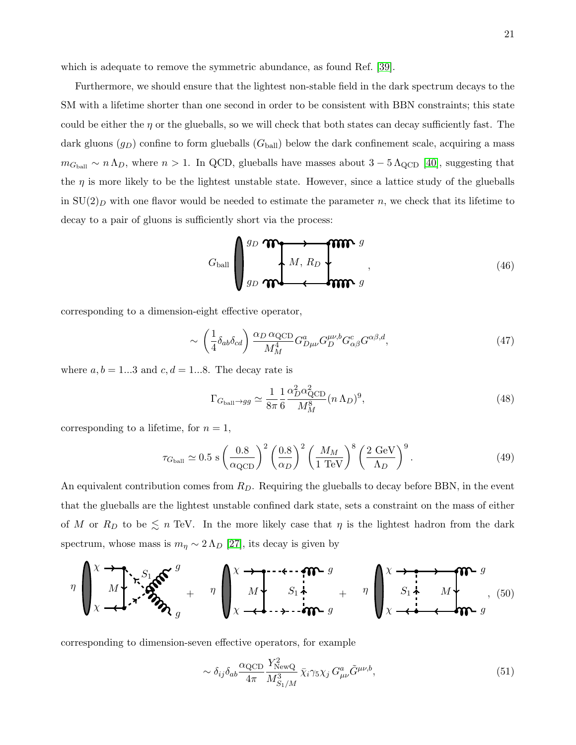which is adequate to remove the symmetric abundance, as found Ref. [\[39\]](#page-31-5).

Furthermore, we should ensure that the lightest non-stable field in the dark spectrum decays to the SM with a lifetime shorter than one second in order to be consistent with BBN constraints; this state could be either the  $\eta$  or the glueballs, so we will check that both states can decay sufficiently fast. The dark gluons  $(g_D)$  confine to form glueballs  $(G_{ball})$  below the dark confinement scale, acquiring a mass  $m_{G<sub>ball</sub>} \sim n \Lambda_D$ , where  $n > 1$ . In QCD, glueballs have masses about  $3 - 5 \Lambda_{\rm QCD}$  [\[40\]](#page-31-6), suggesting that the  $\eta$  is more likely to be the lightest unstable state. However, since a lattice study of the glueballs in  $SU(2)_D$  with one flavor would be needed to estimate the parameter n, we check that its lifetime to decay to a pair of gluons is sufficiently short via the process:

$$
G_{\text{ball}}\left(\begin{array}{ccc}\ng_D\bigwedge\bigwedge_{j\in D}\bigwedge_{j\in D} \mathbf{M} & g \\
\downarrow M & R_D\n\end{array}\right),\tag{46}
$$

corresponding to a dimension-eight effective operator,

$$
\sim \left(\frac{1}{4}\delta_{ab}\delta_{cd}\right) \frac{\alpha_D \alpha_{\text{QCD}}}{M_M^4} G_{D\mu\nu}^a G_{D}^{\mu\nu,b} G_{\alpha\beta}^c G^{\alpha\beta,d},\tag{47}
$$

where  $a, b = 1...3$  and  $c, d = 1...8$ . The decay rate is

<span id="page-20-0"></span>
$$
\Gamma_{G_{\text{ball}} \to gg} \simeq \frac{1}{8\pi} \frac{1}{6} \frac{\alpha_D^2 \alpha_{\text{QCD}}^2}{M_M^8} (n \Lambda_D)^9,\tag{48}
$$

corresponding to a lifetime, for  $n = 1$ ,

$$
\tau_{Gball} \simeq 0.5 \text{ s} \left(\frac{0.8}{\alpha_{\text{QCD}}}\right)^2 \left(\frac{0.8}{\alpha_D}\right)^2 \left(\frac{M_M}{1 \text{ TeV}}\right)^8 \left(\frac{2 \text{ GeV}}{\Lambda_D}\right)^9. \tag{49}
$$

An equivalent contribution comes from  $R_D$ . Requiring the glueballs to decay before BBN, in the event that the glueballs are the lightest unstable confined dark state, sets a constraint on the mass of either of M or  $R_D$  to be  $\leq n$  TeV. In the more likely case that  $\eta$  is the lightest hadron from the dark spectrum, whose mass is  $m_{\eta} \sim 2 \Lambda_D$  [\[27\]](#page-30-20), its decay is given by

$$
\eta \left(\sum_{X}^{X} \frac{1}{M}\sum_{i=1}^{N} \sum_{j=1}^{N} S_{ij} \right)_{\mathcal{S}_1} = \eta \left(\sum_{X}^{X} \frac{1}{M}\sum_{i=1}^{N} \sum_{i=1}^{N} \frac{1}{M} \sum_{j=1}^{N} \frac{1}{N} \sum_{j=1}^{N} \frac{1}{M} \sum_{j=1}^{N} \frac{1}{M} \sum_{j=1}^{N} S_{ij} \sum_{j=1}^{N} \frac{1}{M} \sum_{j=1}^{N} S_{ij} \sum_{j=1}^{N} \frac{1}{M} \sum_{j=1}^{N} \frac{1}{M} \sum_{j=1}^{N} \frac{1}{M} \sum_{j=1}^{N} \frac{1}{M} \sum_{j=1}^{N} \frac{1}{M} \sum_{j=1}^{N} \frac{1}{M} \sum_{j=1}^{N} \frac{1}{M} \sum_{j=1}^{N} \frac{1}{M} \sum_{j=1}^{N} \frac{1}{M} \sum_{j=1}^{N} \frac{1}{M} \sum_{j=1}^{N} \frac{1}{M} \sum_{j=1}^{N} \frac{1}{M} \sum_{j=1}^{N} \frac{1}{M} \sum_{j=1}^{N} \frac{1}{M} \sum_{j=1}^{N} \frac{1}{M} \sum_{j=1}^{N} \frac{1}{M} \sum_{j=1}^{N} \frac{1}{M} \sum_{j=1}^{N} \frac{1}{M} \sum_{j=1}^{N} \frac{1}{M} \sum_{j=1}^{N} \frac{1}{M} \sum_{j=1}^{N} \frac{1}{M} \sum_{j=1}^{N} \frac{1}{M} \sum_{j=1}^{N} \frac{1}{M} \sum_{j=1}^{N} \frac{1}{M} \sum_{j=1}^{N} \frac{1}{M} \sum_{j=1}^{N} \frac{1}{M} \sum_{j=1}^{N} \frac{1}{M} \sum_{j=1}^{N} \frac{1}{M} \sum_{j=1}^{N} \frac{1}{M} \sum_{j=1}^{N} \frac{1}{M} \sum_{j=1}^{N} \frac{1}{M} \sum_{j=1}^{N} \frac{1}{M} \sum_{j=1}^{N} \frac{1}{M} \sum_{
$$

corresponding to dimension-seven effective operators, for example

$$
\sim \delta_{ij}\delta_{ab}\frac{\alpha_{\rm QCD}}{4\pi} \frac{Y_{\rm NewQ}^2}{M_{S_1/M}^3} \bar{\chi}_i \gamma_5 \chi_j G_{\mu\nu}^a \tilde{G}^{\mu\nu,b},\tag{51}
$$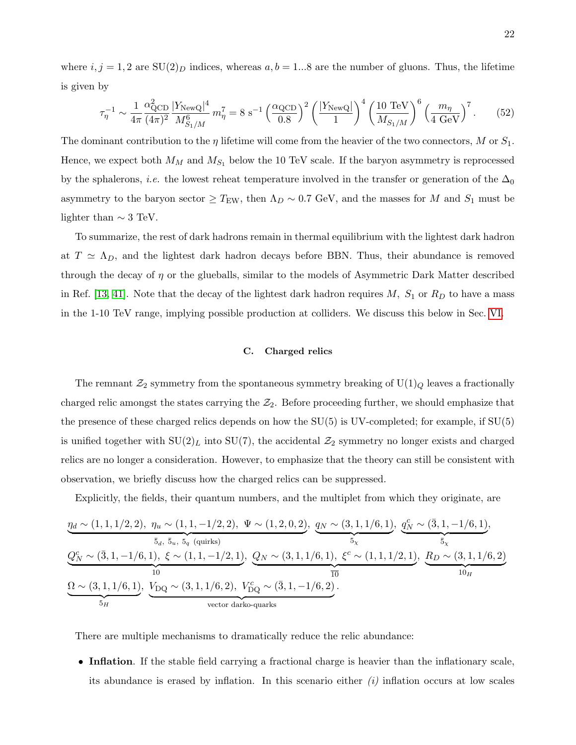where  $i, j = 1, 2$  are  $SU(2)_D$  indices, whereas  $a, b = 1...8$  are the number of gluons. Thus, the lifetime is given by

<span id="page-21-1"></span>
$$
\tau_{\eta}^{-1} \sim \frac{1}{4\pi} \frac{\alpha_{\text{QCD}}^2}{(4\pi)^2} \frac{|Y_{\text{NewQ}}|^4}{M_{S_1/M}^6} m_{\eta}^7 = 8 \text{ s}^{-1} \left(\frac{\alpha_{\text{QCD}}}{0.8}\right)^2 \left(\frac{|Y_{\text{NewQ}}|}{1}\right)^4 \left(\frac{10 \text{ TeV}}{M_{S_1/M}}\right)^6 \left(\frac{m_{\eta}}{4 \text{ GeV}}\right)^7. \tag{52}
$$

The dominant contribution to the  $\eta$  lifetime will come from the heavier of the two connectors, M or  $S_1$ . Hence, we expect both  $M_M$  and  $M_{S_1}$  below the 10 TeV scale. If the baryon asymmetry is reprocessed by the sphalerons, *i.e.* the lowest reheat temperature involved in the transfer or generation of the  $\Delta_0$ asymmetry to the baryon sector  $\geq T_{\text{EW}}$ , then  $\Lambda_D \sim 0.7 \text{ GeV}$ , and the masses for M and  $S_1$  must be lighter than  $\sim 3$  TeV.

To summarize, the rest of dark hadrons remain in thermal equilibrium with the lightest dark hadron at  $T \simeq \Lambda_D$ , and the lightest dark hadron decays before BBN. Thus, their abundance is removed through the decay of  $\eta$  or the glueballs, similar to the models of Asymmetric Dark Matter described in Ref. [\[13,](#page-30-7) [41\]](#page-31-7). Note that the decay of the lightest dark hadron requires  $M$ ,  $S_1$  or  $R_D$  to have a mass in the 1-10 TeV range, implying possible production at colliders. We discuss this below in Sec. [VI.](#page-22-0)

# <span id="page-21-0"></span>C. Charged relics

The remnant  $\mathcal{Z}_2$  symmetry from the spontaneous symmetry breaking of  $U(1)_Q$  leaves a fractionally charged relic amongst the states carrying the  $\mathcal{Z}_2$ . Before proceeding further, we should emphasize that the presence of these charged relics depends on how the SU(5) is UV-completed; for example, if SU(5) is unified together with  $SU(2)<sub>L</sub>$  into  $SU(7)$ , the accidental  $\mathcal{Z}_2$  symmetry no longer exists and charged relics are no longer a consideration. However, to emphasize that the theory can still be consistent with observation, we briefly discuss how the charged relics can be suppressed.

Explicitly, the fields, their quantum numbers, and the multiplet from which they originate, are

$$
\underbrace{\eta_d \sim (1,1,1/2,2), \eta_u \sim (1,1,-1/2,2), \Psi \sim (1,2,0,2)}_{\bar{5}_d, \bar{5}_u, \bar{5}_u, \bar{5}_q \text{ (quarks)}}
$$
\n
$$
\underbrace{Q_N^c \sim (\bar{3},1,-1/6,1),}_{\bar{10}} \xi \sim (1,1,-1/2,1), Q_N \sim (3,1,1/6,1), \xi^c \sim (1,1,1/2,1), \underbrace{R_D \sim (3,1,1/6,2)}_{\bar{10}}}
$$
\n
$$
\underbrace{Q_N^c \sim (\bar{3},1,-1/6,1), \xi \sim (1,1,-1/2,1)}_{\bar{10}_H}, \underbrace{Q_N \sim (3,1,1/6,1), \xi^c \sim (1,1,1/2,1)}_{\bar{10}_H}, \underbrace{R_D \sim (3,1,1/6,2)}_{\bar{10}_H}
$$
\n
$$
\underbrace{Q_N \sim (3,1,1/6,1), \underbrace{V_{\rm DQ} \sim (3,1,1/6,2), V_{\rm DQ}^c \sim (\bar{3},1,-1/6,2)}_{\text{vector darko-quarks}}.
$$

There are multiple mechanisms to dramatically reduce the relic abundance:

• Inflation. If the stable field carrying a fractional charge is heavier than the inflationary scale, its abundance is erased by inflation. In this scenario either  $(i)$  inflation occurs at low scales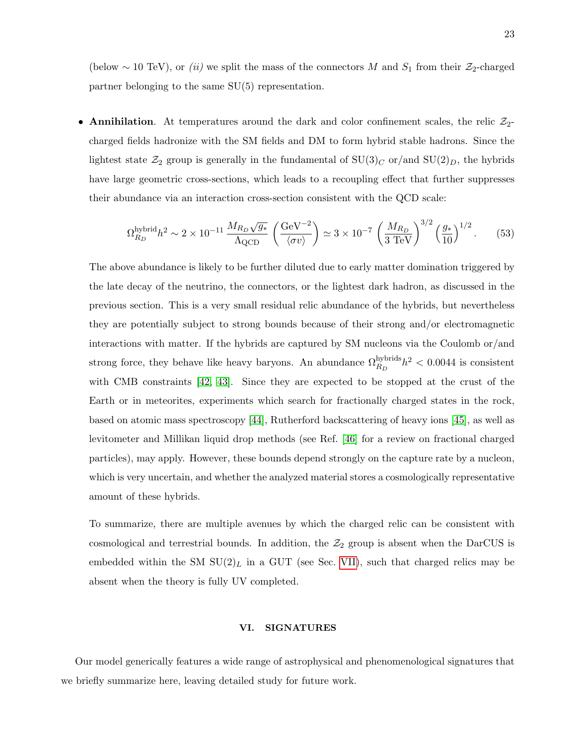(below ~ 10 TeV), or (ii) we split the mass of the connectors M and  $S_1$  from their  $\mathcal{Z}_2$ -charged partner belonging to the same SU(5) representation.

• Annihilation. At temperatures around the dark and color confinement scales, the relic  $\mathcal{Z}_2$ charged fields hadronize with the SM fields and DM to form hybrid stable hadrons. Since the lightest state  $\mathcal{Z}_2$  group is generally in the fundamental of  $SU(3)_C$  or/and  $SU(2)_D$ , the hybrids have large geometric cross-sections, which leads to a recoupling effect that further suppresses their abundance via an interaction cross-section consistent with the QCD scale:

$$
\Omega_{R_D}^{\text{hybrid}} h^2 \sim 2 \times 10^{-11} \frac{M_{R_D} \sqrt{g_*}}{\Lambda_{\text{QCD}}} \left( \frac{\text{GeV}^{-2}}{\langle \sigma v \rangle} \right) \simeq 3 \times 10^{-7} \left( \frac{M_{R_D}}{3 \text{ TeV}} \right)^{3/2} \left( \frac{g_*}{10} \right)^{1/2} . \tag{53}
$$

The above abundance is likely to be further diluted due to early matter domination triggered by the late decay of the neutrino, the connectors, or the lightest dark hadron, as discussed in the previous section. This is a very small residual relic abundance of the hybrids, but nevertheless they are potentially subject to strong bounds because of their strong and/or electromagnetic interactions with matter. If the hybrids are captured by SM nucleons via the Coulomb or/and strong force, they behave like heavy baryons. An abundance  $\Omega_{R_D}^{\text{hybrids}} h^2 < 0.0044$  is consistent with CMB constraints [\[42,](#page-31-8) [43\]](#page-31-9). Since they are expected to be stopped at the crust of the Earth or in meteorites, experiments which search for fractionally charged states in the rock, based on atomic mass spectroscopy [\[44\]](#page-31-10), Rutherford backscattering of heavy ions [\[45\]](#page-31-11), as well as levitometer and Millikan liquid drop methods (see Ref. [\[46\]](#page-31-12) for a review on fractional charged particles), may apply. However, these bounds depend strongly on the capture rate by a nucleon, which is very uncertain, and whether the analyzed material stores a cosmologically representative amount of these hybrids.

To summarize, there are multiple avenues by which the charged relic can be consistent with cosmological and terrestrial bounds. In addition, the  $\mathcal{Z}_2$  group is absent when the DarCUS is embedded within the SM  $SU(2)_L$  in a GUT (see Sec. [VII\)](#page-27-0), such that charged relics may be absent when the theory is fully UV completed.

## <span id="page-22-0"></span>VI. SIGNATURES

Our model generically features a wide range of astrophysical and phenomenological signatures that we briefly summarize here, leaving detailed study for future work.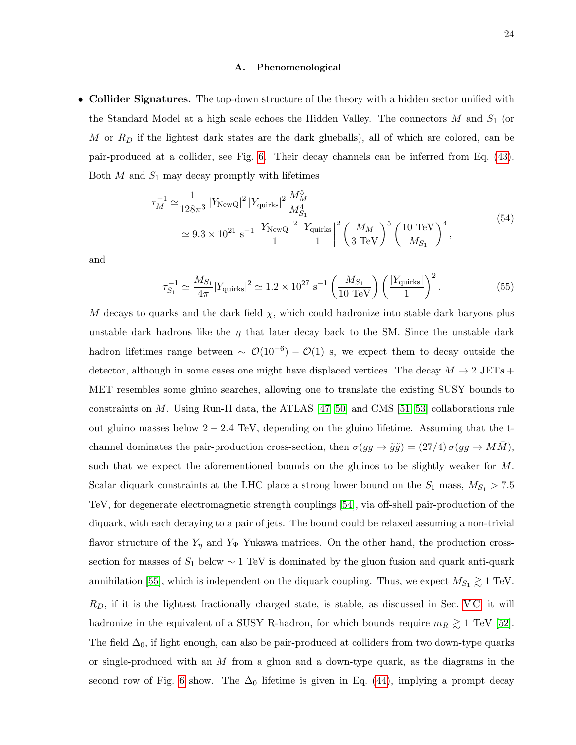## <span id="page-23-0"></span>A. Phenomenological

• Collider Signatures. The top-down structure of the theory with a hidden sector unified with the Standard Model at a high scale echoes the Hidden Valley. The connectors  $M$  and  $S_1$  (or  $M$  or  $R_D$  if the lightest dark states are the dark glueballs), all of which are colored, can be pair-produced at a collider, see Fig. [6.](#page-24-0) Their decay channels can be inferred from Eq. [\(43\)](#page-19-1). Both  $M$  and  $S_1$  may decay promptly with lifetimes

$$
\tau_M^{-1} \simeq \frac{1}{128\pi^3} |Y_{\text{NewQ}}|^2 |Y_{\text{quirks}}|^2 \frac{M_M^5}{M_{S_1}^4} \simeq 9.3 \times 10^{21} \text{ s}^{-1} \left| \frac{Y_{\text{NewQ}}}{1} \right|^2 \left| \frac{Y_{\text{quirks}}}{1} \right|^2 \left( \frac{M_M}{3 \text{ TeV}} \right)^5 \left( \frac{10 \text{ TeV}}{M_{S_1}} \right)^4,
$$
\n
$$
(54)
$$

and

$$
\tau_{S_1}^{-1} \simeq \frac{M_{S_1}}{4\pi} |Y_{\text{quirks}}|^2 \simeq 1.2 \times 10^{27} \text{ s}^{-1} \left(\frac{M_{S_1}}{10 \text{ TeV}}\right) \left(\frac{|Y_{\text{quirks}}|}{1}\right)^2. \tag{55}
$$

M decays to quarks and the dark field  $\chi$ , which could hadronize into stable dark baryons plus unstable dark hadrons like the  $\eta$  that later decay back to the SM. Since the unstable dark hadron lifetimes range between  $\sim \mathcal{O}(10^{-6}) - \mathcal{O}(1)$  s, we expect them to decay outside the detector, although in some cases one might have displaced vertices. The decay  $M \to 2 \text{ JETs} +$ MET resembles some gluino searches, allowing one to translate the existing SUSY bounds to constraints on M. Using Run-II data, the ATLAS  $[47-50]$  $[47-50]$  and CMS  $[51-53]$  $[51-53]$  collaborations rule out gluino masses below  $2 - 2.4$  TeV, depending on the gluino lifetime. Assuming that the tchannel dominates the pair-production cross-section, then  $\sigma(gg \to \tilde{g}\tilde{g}) = (27/4) \sigma(gg \to MM)$ , such that we expect the aforementioned bounds on the gluinos to be slightly weaker for M. Scalar diquark constraints at the LHC place a strong lower bound on the  $S_1$  mass,  $M_{S_1} > 7.5$ TeV, for degenerate electromagnetic strength couplings [\[54\]](#page-31-17), via off-shell pair-production of the diquark, with each decaying to a pair of jets. The bound could be relaxed assuming a non-trivial flavor structure of the  $Y_{\eta}$  and  $Y_{\Psi}$  Yukawa matrices. On the other hand, the production crosssection for masses of  $S_1$  below  $\sim 1 \text{ TeV}$  is dominated by the gluon fusion and quark anti-quark annihilation [\[55\]](#page-31-18), which is independent on the diquark coupling. Thus, we expect  $M_{S_1} \gtrsim 1$  TeV.  $R_D$ , if it is the lightest fractionally charged state, is stable, as discussed in Sec. VC; it will hadronize in the equivalent of a SUSY R-hadron, for which bounds require  $m_R \gtrsim 1$  TeV [\[52\]](#page-31-19). The field  $\Delta_0$ , if light enough, can also be pair-produced at colliders from two down-type quarks or single-produced with an M from a gluon and a down-type quark, as the diagrams in the second row of Fig. [6](#page-24-0) show. The  $\Delta_0$  lifetime is given in Eq. [\(44\)](#page-19-2), implying a prompt decay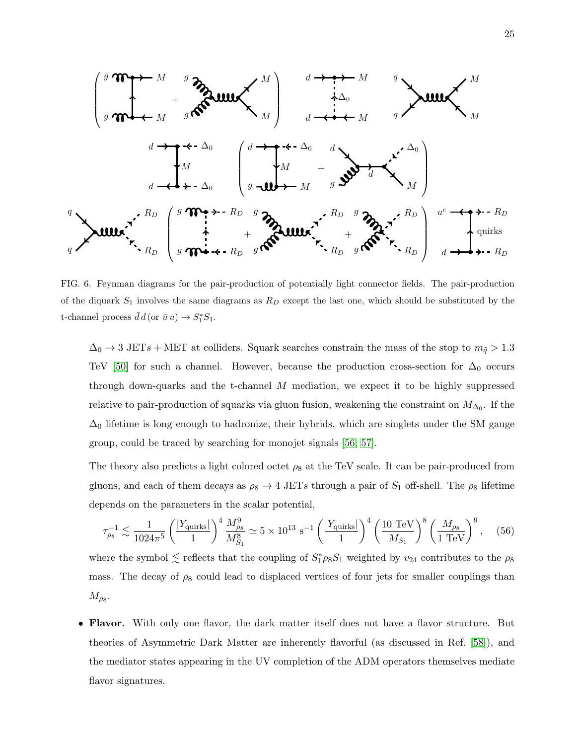

<span id="page-24-0"></span>FIG. 6. Feynman diagrams for the pair-production of potentially light connector fields. The pair-production of the diquark  $S_1$  involves the same diagrams as  $R_D$  except the last one, which should be substituted by the t-channel process  $\bar{d}d$  (or  $\bar{u}u$ )  $\rightarrow S_1^*S_1$ .

 $\Delta_0 \rightarrow 3$  JETs + MET at colliders. Squark searches constrain the mass of the stop to  $m_{\tilde{q}} > 1.3$ TeV [\[50\]](#page-31-14) for such a channel. However, because the production cross-section for  $\Delta_0$  occurs through down-quarks and the t-channel M mediation, we expect it to be highly suppressed relative to pair-production of squarks via gluon fusion, weakening the constraint on  $M_{\Delta_0}$ . If the  $\Delta_0$  lifetime is long enough to hadronize, their hybrids, which are singlets under the SM gauge group, could be traced by searching for monojet signals [\[56,](#page-31-20) [57\]](#page-31-21).

The theory also predicts a light colored octet  $\rho_8$  at the TeV scale. It can be pair-produced from gluons, and each of them decays as  $\rho_8 \to 4$  JETs through a pair of  $S_1$  off-shell. The  $\rho_8$  lifetime depends on the parameters in the scalar potential,

$$
\tau_{\rho_8}^{-1} \lesssim \frac{1}{1024\pi^5} \left(\frac{|Y_{\text{quirks}}|}{1}\right)^4 \frac{M_{\rho_8}^9}{M_{S_1}^8} \simeq 5 \times 10^{13} \text{ s}^{-1} \left(\frac{|Y_{\text{quirks}}|}{1}\right)^4 \left(\frac{10 \text{ TeV}}{M_{S_1}}\right)^8 \left(\frac{M_{\rho_8}}{1 \text{ TeV}}\right)^9, \quad (56)
$$

where the symbol  $\lesssim$  reflects that the coupling of  $S_1^* \rho_8 S_1$  weighted by  $v_{24}$  contributes to the  $\rho_8$ mass. The decay of  $\rho_8$  could lead to displaced vertices of four jets for smaller couplings than  $M_{\rho_8}.$ 

• Flavor. With only one flavor, the dark matter itself does not have a flavor structure. But theories of Asymmetric Dark Matter are inherently flavorful (as discussed in Ref. [\[58\]](#page-31-22)), and the mediator states appearing in the UV completion of the ADM operators themselves mediate flavor signatures.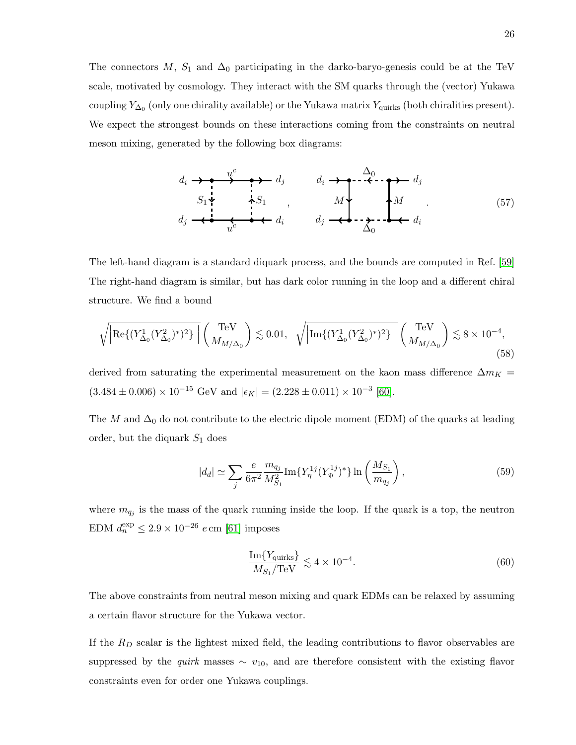The connectors M,  $S_1$  and  $\Delta_0$  participating in the darko-baryo-genesis could be at the TeV scale, motivated by cosmology. They interact with the SM quarks through the (vector) Yukawa coupling  $Y_{\Delta_0}$  (only one chirality available) or the Yukawa matrix  $Y_{\text{quirks}}$  (both chiralities present). We expect the strongest bounds on these interactions coming from the constraints on neutral meson mixing, generated by the following box diagrams:

$$
d_i \rightarrow \bullet \rightarrow d_j
$$
\n
$$
S_1 \rightarrow \bullet S_1
$$
\n
$$
d_j \rightarrow \bullet S_1
$$
\n
$$
d_i \rightarrow \bullet S_1
$$
\n
$$
d_j \rightarrow \bullet S_2
$$
\n
$$
d_j \rightarrow \bullet S_3
$$
\n
$$
d_j \rightarrow \bullet S_2
$$
\n
$$
d_j \rightarrow \bullet S_3
$$
\n
$$
d_j \rightarrow \bullet S_4
$$
\n
$$
(57)
$$

The left-hand diagram is a standard diquark process, and the bounds are computed in Ref. [\[59\]](#page-31-23) The right-hand diagram is similar, but has dark color running in the loop and a different chiral structure. We find a bound

$$
\sqrt{\left| \text{Re}\{ (Y_{\Delta_0}^1 (Y_{\Delta_0}^2)^*)^2 \} \right|} \left( \frac{\text{TeV}}{M_{M/\Delta_0}} \right) \lesssim 0.01, \quad \sqrt{\left| \text{Im}\{ (Y_{\Delta_0}^1 (Y_{\Delta_0}^2)^*)^2 \} \right|} \left( \frac{\text{TeV}}{M_{M/\Delta_0}} \right) \lesssim 8 \times 10^{-4},\tag{58}
$$

derived from saturating the experimental measurement on the kaon mass difference  $\Delta m_K =$  $(3.484 \pm 0.006) \times 10^{-15}$  GeV and  $|\epsilon_K| = (2.228 \pm 0.011) \times 10^{-3}$  [\[60\]](#page-31-24).

The M and  $\Delta_0$  do not contribute to the electric dipole moment (EDM) of the quarks at leading order, but the diquark  $S_1$  does

$$
|d_d| \simeq \sum_j \frac{e}{6\pi^2} \frac{m_{q_j}}{M_{S_1}^2} \text{Im}\{Y_{\eta}^{1j}(Y_{\Psi}^{1j})^*\} \ln\left(\frac{M_{S_1}}{m_{q_j}}\right),\tag{59}
$$

where  $m_{q_j}$  is the mass of the quark running inside the loop. If the quark is a top, the neutron EDM  $d_n^{\text{exp}} \leq 2.9 \times 10^{-26} e$  cm [\[61\]](#page-31-25) imposes

$$
\frac{\text{Im}\{Y_{\text{quirks}}\}}{M_{S_1}/\text{TeV}} \lesssim 4 \times 10^{-4}.\tag{60}
$$

The above constraints from neutral meson mixing and quark EDMs can be relaxed by assuming a certain flavor structure for the Yukawa vector.

If the  $R_D$  scalar is the lightest mixed field, the leading contributions to flavor observables are suppressed by the *quirk* masses  $\sim v_{10}$ , and are therefore consistent with the existing flavor constraints even for order one Yukawa couplings.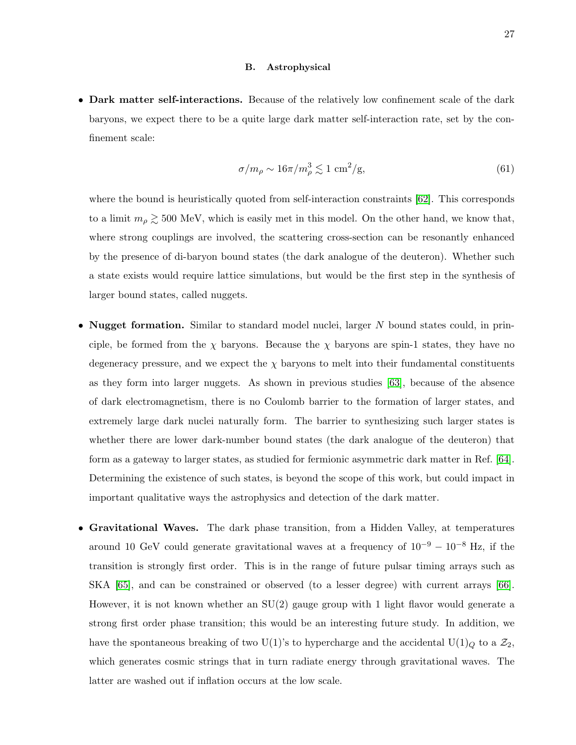## <span id="page-26-0"></span>B. Astrophysical

• Dark matter self-interactions. Because of the relatively low confinement scale of the dark baryons, we expect there to be a quite large dark matter self-interaction rate, set by the confinement scale:

$$
\sigma/m_{\rho} \sim 16\pi/m_{\rho}^3 \lesssim 1 \text{ cm}^2/\text{g},\tag{61}
$$

where the bound is heuristically quoted from self-interaction constraints [\[62\]](#page-31-26). This corresponds to a limit  $m_{\rho} \gtrsim 500$  MeV, which is easily met in this model. On the other hand, we know that, where strong couplings are involved, the scattering cross-section can be resonantly enhanced by the presence of di-baryon bound states (the dark analogue of the deuteron). Whether such a state exists would require lattice simulations, but would be the first step in the synthesis of larger bound states, called nuggets.

- Nugget formation. Similar to standard model nuclei, larger N bound states could, in principle, be formed from the  $\chi$  baryons. Because the  $\chi$  baryons are spin-1 states, they have no degeneracy pressure, and we expect the  $\chi$  baryons to melt into their fundamental constituents as they form into larger nuggets. As shown in previous studies [\[63\]](#page-31-27), because of the absence of dark electromagnetism, there is no Coulomb barrier to the formation of larger states, and extremely large dark nuclei naturally form. The barrier to synthesizing such larger states is whether there are lower dark-number bound states (the dark analogue of the deuteron) that form as a gateway to larger states, as studied for fermionic asymmetric dark matter in Ref. [\[64\]](#page-31-28). Determining the existence of such states, is beyond the scope of this work, but could impact in important qualitative ways the astrophysics and detection of the dark matter.
- Gravitational Waves. The dark phase transition, from a Hidden Valley, at temperatures around 10 GeV could generate gravitational waves at a frequency of  $10^{-9} - 10^{-8}$  Hz, if the transition is strongly first order. This is in the range of future pulsar timing arrays such as SKA [\[65\]](#page-32-0), and can be constrained or observed (to a lesser degree) with current arrays [\[66\]](#page-32-1). However, it is not known whether an  $SU(2)$  gauge group with 1 light flavor would generate a strong first order phase transition; this would be an interesting future study. In addition, we have the spontaneous breaking of two U(1)'s to hypercharge and the accidental U(1)<sub>Q</sub> to a  $\mathcal{Z}_2$ , which generates cosmic strings that in turn radiate energy through gravitational waves. The latter are washed out if inflation occurs at the low scale.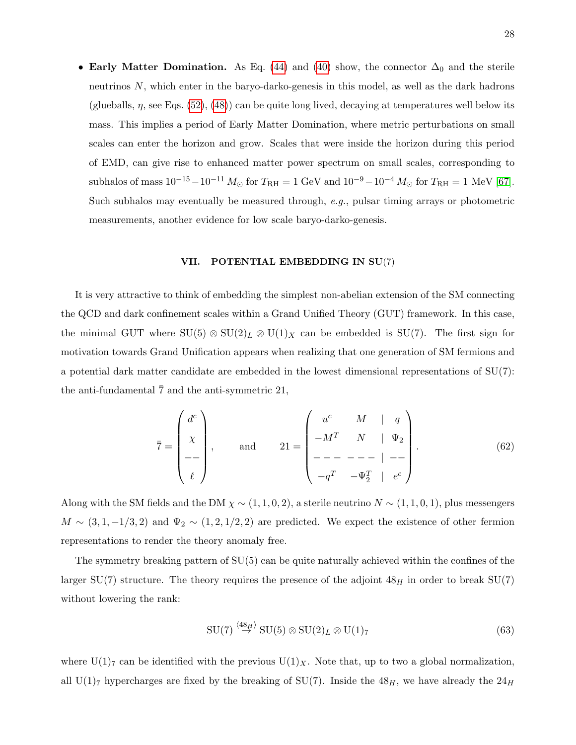• Early Matter Domination. As Eq. [\(44\)](#page-19-2) and [\(40\)](#page-17-1) show, the connector  $\Delta_0$  and the sterile neutrinos N, which enter in the baryo-darko-genesis in this model, as well as the dark hadrons (glueballs,  $\eta$ , see Eqs. [\(52\)](#page-21-1), [\(48\)](#page-20-0)) can be quite long lived, decaying at temperatures well below its mass. This implies a period of Early Matter Domination, where metric perturbations on small scales can enter the horizon and grow. Scales that were inside the horizon during this period of EMD, can give rise to enhanced matter power spectrum on small scales, corresponding to subhalos of mass  $10^{-15} - 10^{-11} M_{\odot}$  for  $T_{\rm RH} = 1$  GeV and  $10^{-9} - 10^{-4} M_{\odot}$  for  $T_{\rm RH} = 1$  MeV [\[67\]](#page-32-2). Such subhalos may eventually be measured through,  $e.g.,$  pulsar timing arrays or photometric measurements, another evidence for low scale baryo-darko-genesis.

#### <span id="page-27-0"></span>VII. POTENTIAL EMBEDDING IN SU(7)

It is very attractive to think of embedding the simplest non-abelian extension of the SM connecting the QCD and dark confinement scales within a Grand Unified Theory (GUT) framework. In this case, the minimal GUT where  $SU(5) \otimes SU(2)_L \otimes U(1)_X$  can be embedded is  $SU(7)$ . The first sign for motivation towards Grand Unification appears when realizing that one generation of SM fermions and a potential dark matter candidate are embedded in the lowest dimensional representations of SU(7): the anti-fundamental  $\overline{7}$  and the anti-symmetric 21,

$$
\bar{7} = \begin{pmatrix} d^c \\ \chi \\ - \\ - \\ \ell \end{pmatrix}, \quad \text{and} \quad 21 = \begin{pmatrix} u^c & M & | & q \\ -M^T & N & | & \Psi_2 \\ - & - - - - - - | & - - \\ - & - - - | & - - \\ - & - - - | & - \ell^T \end{pmatrix}.
$$
 (62)

Along with the SM fields and the DM  $\chi \sim (1, 1, 0, 2)$ , a sterile neutrino  $N \sim (1, 1, 0, 1)$ , plus messengers  $M \sim (3, 1, -1/3, 2)$  and  $\Psi_2 \sim (1, 2, 1/2, 2)$  are predicted. We expect the existence of other fermion representations to render the theory anomaly free.

The symmetry breaking pattern of SU(5) can be quite naturally achieved within the confines of the larger SU(7) structure. The theory requires the presence of the adjoint  $48<sub>H</sub>$  in order to break SU(7) without lowering the rank:

$$
SU(7) \stackrel{\langle 48_H \rangle}{\rightarrow} SU(5) \otimes SU(2)_L \otimes U(1)_7
$$
 (63)

where  $U(1)_7$  can be identified with the previous  $U(1)_X$ . Note that, up to two a global normalization, all U(1)<sub>7</sub> hypercharges are fixed by the breaking of SU(7). Inside the  $48<sub>H</sub>$ , we have already the  $24<sub>H</sub>$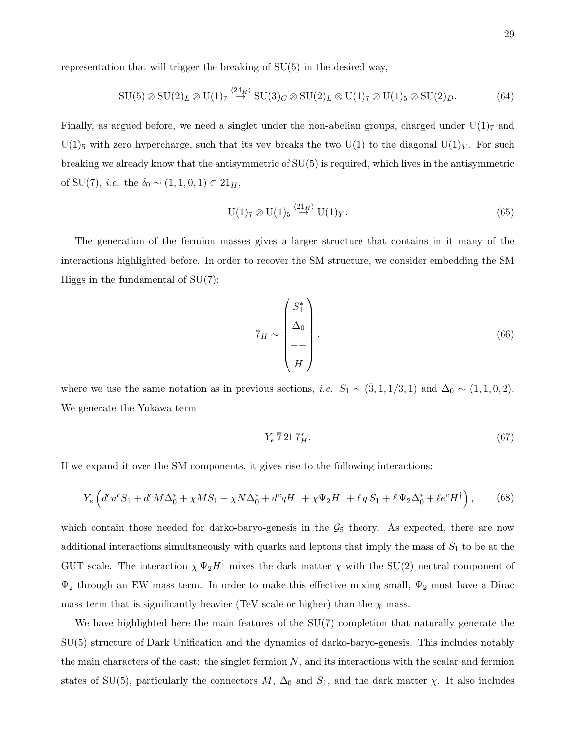representation that will trigger the breaking of SU(5) in the desired way,

$$
SU(5) \otimes SU(2)_L \otimes U(1)_7 \stackrel{\langle 24_H \rangle}{\rightarrow} SU(3)_C \otimes SU(2)_L \otimes U(1)_7 \otimes U(1)_5 \otimes SU(2)_D. \tag{64}
$$

Finally, as argued before, we need a singlet under the non-abelian groups, charged under  $U(1)<sub>7</sub>$  and  $U(1)_5$  with zero hypercharge, such that its vev breaks the two  $U(1)$  to the diagonal  $U(1)_Y$ . For such breaking we already know that the antisymmetric of SU(5) is required, which lives in the antisymmetric of SU(7), *i.e.* the  $\delta_0$  ∼ (1, 1, 0, 1) ⊂ 21<sub>*H*</sub>,

$$
U(1)_7 \otimes U(1)_5 \stackrel{\langle 21_H \rangle}{\rightarrow} U(1)_Y. \tag{65}
$$

The generation of the fermion masses gives a larger structure that contains in it many of the interactions highlighted before. In order to recover the SM structure, we consider embedding the SM Higgs in the fundamental of  $SU(7)$ :

$$
7_H \sim \begin{pmatrix} S_1^* \\ \Delta_0 \\ -- \\ H \end{pmatrix}, \tag{66}
$$

where we use the same notation as in previous sections, *i.e.*  $S_1 \sim (\bar{3}, 1, 1/3, 1)$  and  $\Delta_0 \sim (1, 1, 0, 2)$ . We generate the Yukawa term

$$
Y_e\,\overline{7}\,21\,T_H^*.\tag{67}
$$

If we expand it over the SM components, it gives rise to the following interactions:

$$
Y_e \left( d^c u^c S_1 + d^c M \Delta_0^* + \chi M S_1 + \chi N \Delta_0^* + d^c q H^\dagger + \chi \Psi_2 H^\dagger + \ell q S_1 + \ell \Psi_2 \Delta_0^* + \ell e^c H^\dagger \right),\tag{68}
$$

which contain those needed for darko-baryo-genesis in the  $\mathcal{G}_5$  theory. As expected, there are now additional interactions simultaneously with quarks and leptons that imply the mass of  $S_1$  to be at the GUT scale. The interaction  $\chi \Psi_2 H^{\dagger}$  mixes the dark matter  $\chi$  with the SU(2) neutral component of  $\Psi_2$  through an EW mass term. In order to make this effective mixing small,  $\Psi_2$  must have a Dirac mass term that is significantly heavier (TeV scale or higher) than the  $\chi$  mass.

We have highlighted here the main features of the  $SU(7)$  completion that naturally generate the SU(5) structure of Dark Unification and the dynamics of darko-baryo-genesis. This includes notably the main characters of the cast: the singlet fermion  $N$ , and its interactions with the scalar and fermion states of SU(5), particularly the connectors  $M$ ,  $\Delta_0$  and  $S_1$ , and the dark matter  $\chi$ . It also includes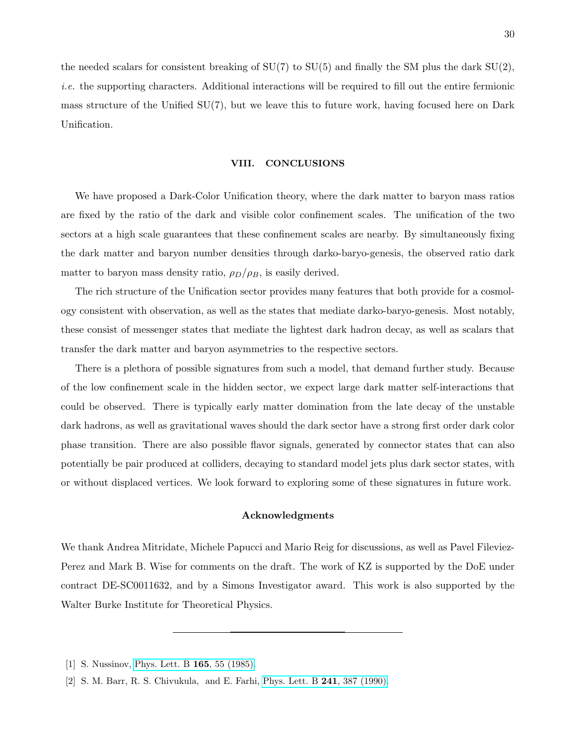the needed scalars for consistent breaking of  $SU(7)$  to  $SU(5)$  and finally the SM plus the dark  $SU(2)$ , i.e. the supporting characters. Additional interactions will be required to fill out the entire fermionic mass structure of the Unified  $SU(7)$ , but we leave this to future work, having focused here on Dark Unification.

#### <span id="page-29-0"></span>VIII. CONCLUSIONS

We have proposed a Dark-Color Unification theory, where the dark matter to baryon mass ratios are fixed by the ratio of the dark and visible color confinement scales. The unification of the two sectors at a high scale guarantees that these confinement scales are nearby. By simultaneously fixing the dark matter and baryon number densities through darko-baryo-genesis, the observed ratio dark matter to baryon mass density ratio,  $\rho_D/\rho_B$ , is easily derived.

The rich structure of the Unification sector provides many features that both provide for a cosmology consistent with observation, as well as the states that mediate darko-baryo-genesis. Most notably, these consist of messenger states that mediate the lightest dark hadron decay, as well as scalars that transfer the dark matter and baryon asymmetries to the respective sectors.

There is a plethora of possible signatures from such a model, that demand further study. Because of the low confinement scale in the hidden sector, we expect large dark matter self-interactions that could be observed. There is typically early matter domination from the late decay of the unstable dark hadrons, as well as gravitational waves should the dark sector have a strong first order dark color phase transition. There are also possible flavor signals, generated by connector states that can also potentially be pair produced at colliders, decaying to standard model jets plus dark sector states, with or without displaced vertices. We look forward to exploring some of these signatures in future work.

## <span id="page-29-1"></span>Acknowledgments

We thank Andrea Mitridate, Michele Papucci and Mario Reig for discussions, as well as Pavel Fileviez-Perez and Mark B. Wise for comments on the draft. The work of KZ is supported by the DoE under contract DE-SC0011632, and by a Simons Investigator award. This work is also supported by the Walter Burke Institute for Theoretical Physics.

<span id="page-29-2"></span>[1] S. Nussinov, [Phys. Lett. B](http://dx.doi.org/10.1016/0370-2693(85)90689-6) 165, 55 (1985).

<sup>[2]</sup> S. M. Barr, R. S. Chivukula, and E. Farhi, [Phys. Lett. B](http://dx.doi.org/10.1016/0370-2693(90)91661-T) 241, 387 (1990).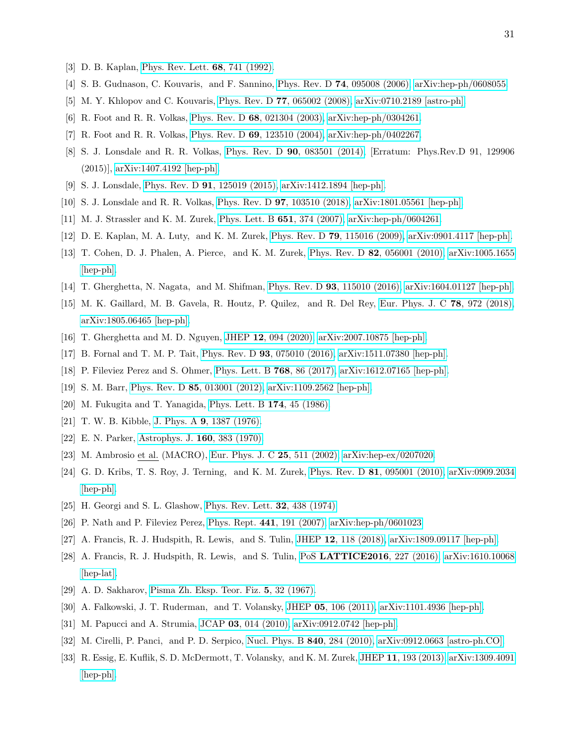- [3] D. B. Kaplan, [Phys. Rev. Lett.](http://dx.doi.org/10.1103/PhysRevLett.68.741) 68, 741 (1992).
- <span id="page-30-0"></span>[4] S. B. Gudnason, C. Kouvaris, and F. Sannino, Phys. Rev. D 74[, 095008 \(2006\),](http://dx.doi.org/10.1103/PhysRevD.74.095008) [arXiv:hep-ph/0608055.](http://arxiv.org/abs/hep-ph/0608055)
- <span id="page-30-1"></span>[5] M. Y. Khlopov and C. Kouvaris, Phys. Rev. D 77[, 065002 \(2008\),](http://dx.doi.org/10.1103/PhysRevD.77.065002) [arXiv:0710.2189 \[astro-ph\].](http://arxiv.org/abs/0710.2189)
- <span id="page-30-2"></span>[6] R. Foot and R. R. Volkas, Phys. Rev. D 68[, 021304 \(2003\),](http://dx.doi.org/10.1103/PhysRevD.68.021304) [arXiv:hep-ph/0304261.](http://arxiv.org/abs/hep-ph/0304261)
- <span id="page-30-3"></span>[7] R. Foot and R. R. Volkas, Phys. Rev. D 69[, 123510 \(2004\),](http://dx.doi.org/10.1103/PhysRevD.69.123510) [arXiv:hep-ph/0402267.](http://arxiv.org/abs/hep-ph/0402267)
- [8] S. J. Lonsdale and R. R. Volkas, Phys. Rev. D 90[, 083501 \(2014\),](http://dx.doi.org/10.1103/PhysRevD.90.083501) [Erratum: Phys.Rev.D 91, 129906 (2015)], [arXiv:1407.4192 \[hep-ph\].](http://arxiv.org/abs/1407.4192)
- <span id="page-30-4"></span>[9] S. J. Lonsdale, Phys. Rev. D 91[, 125019 \(2015\),](http://dx.doi.org/10.1103/PhysRevD.91.125019) [arXiv:1412.1894 \[hep-ph\].](http://arxiv.org/abs/1412.1894)
- <span id="page-30-5"></span>[10] S. J. Lonsdale and R. R. Volkas, Phys. Rev. D 97[, 103510 \(2018\),](http://dx.doi.org/10.1103/PhysRevD.97.103510) [arXiv:1801.05561 \[hep-ph\].](http://arxiv.org/abs/1801.05561)
- <span id="page-30-6"></span>[11] M. J. Strassler and K. M. Zurek, [Phys. Lett. B](http://dx.doi.org/10.1016/j.physletb.2007.06.055) 651, 374 (2007), [arXiv:hep-ph/0604261.](http://arxiv.org/abs/hep-ph/0604261)
- <span id="page-30-7"></span>[12] D. E. Kaplan, M. A. Luty, and K. M. Zurek, Phys. Rev. D 79[, 115016 \(2009\),](http://dx.doi.org/10.1103/PhysRevD.79.115016) [arXiv:0901.4117 \[hep-ph\].](http://arxiv.org/abs/0901.4117)
- [13] T. Cohen, D. J. Phalen, A. Pierce, and K. M. Zurek, Phys. Rev. D 82[, 056001 \(2010\),](http://dx.doi.org/ 10.1103/PhysRevD.82.056001) [arXiv:1005.1655](http://arxiv.org/abs/1005.1655) [\[hep-ph\].](http://arxiv.org/abs/1005.1655)
- <span id="page-30-8"></span>[14] T. Gherghetta, N. Nagata, and M. Shifman, Phys. Rev. D 93[, 115010 \(2016\),](http://dx.doi.org/10.1103/PhysRevD.93.115010) [arXiv:1604.01127 \[hep-ph\].](http://arxiv.org/abs/1604.01127)
- [15] M. K. Gaillard, M. B. Gavela, R. Houtz, P. Quilez, and R. Del Rey, [Eur. Phys. J. C](http://dx.doi.org/ 10.1140/epjc/s10052-018-6396-6) 78, 972 (2018), [arXiv:1805.06465 \[hep-ph\].](http://arxiv.org/abs/1805.06465)
- <span id="page-30-10"></span><span id="page-30-9"></span>[16] T. Gherghetta and M. D. Nguyen, JHEP 12[, 094 \(2020\),](http://dx.doi.org/10.1007/JHEP12(2020)094) [arXiv:2007.10875 \[hep-ph\].](http://arxiv.org/abs/2007.10875)
- <span id="page-30-11"></span>[17] B. Fornal and T. M. P. Tait, Phys. Rev. D 93[, 075010 \(2016\),](http://dx.doi.org/10.1103/PhysRevD.93.075010) [arXiv:1511.07380 \[hep-ph\].](http://arxiv.org/abs/1511.07380)
- <span id="page-30-12"></span>[18] P. Fileviez Perez and S. Ohmer, [Phys. Lett. B](http://dx.doi.org/10.1016/j.physletb.2017.02.049) 768, 86 (2017), [arXiv:1612.07165 \[hep-ph\].](http://arxiv.org/abs/1612.07165)
- <span id="page-30-13"></span>[19] S. M. Barr, Phys. Rev. D 85[, 013001 \(2012\),](http://dx.doi.org/10.1103/PhysRevD.85.013001) [arXiv:1109.2562 \[hep-ph\].](http://arxiv.org/abs/1109.2562)
- <span id="page-30-14"></span>[20] M. Fukugita and T. Yanagida, [Phys. Lett. B](http://dx.doi.org/10.1016/0370-2693(86)91126-3) 174, 45 (1986).
- <span id="page-30-15"></span>[21] T. W. B. Kibble, J. Phys. A 9[, 1387 \(1976\).](http://dx.doi.org/10.1088/0305-4470/9/8/029)
- <span id="page-30-16"></span>[22] E. N. Parker, [Astrophys. J.](http://dx.doi.org/10.1086/150442) 160, 383 (1970).
- <span id="page-30-17"></span>[23] M. Ambrosio et al. (MACRO), [Eur. Phys. J. C](http://dx.doi.org/10.1140/epjc/s2002-01046-9) 25, 511 (2002), [arXiv:hep-ex/0207020.](http://arxiv.org/abs/hep-ex/0207020)
- [24] G. D. Kribs, T. S. Roy, J. Terning, and K. M. Zurek, Phys. Rev. D 81[, 095001 \(2010\),](http://dx.doi.org/10.1103/PhysRevD.81.095001) [arXiv:0909.2034](http://arxiv.org/abs/0909.2034) [\[hep-ph\].](http://arxiv.org/abs/0909.2034)
- <span id="page-30-19"></span><span id="page-30-18"></span>[25] H. Georgi and S. L. Glashow, [Phys. Rev. Lett.](http://dx.doi.org/10.1103/PhysRevLett.32.438) **32**, 438 (1974).
- <span id="page-30-20"></span>[26] P. Nath and P. Fileviez Perez, Phys. Rept. 441[, 191 \(2007\),](http://dx.doi.org/10.1016/j.physrep.2007.02.010) [arXiv:hep-ph/0601023.](http://arxiv.org/abs/hep-ph/0601023)
- <span id="page-30-21"></span>[27] A. Francis, R. J. Hudspith, R. Lewis, and S. Tulin, JHEP 12[, 118 \(2018\),](http://dx.doi.org/10.1007/JHEP12(2018)118) [arXiv:1809.09117 \[hep-ph\].](http://arxiv.org/abs/1809.09117)
- [28] A. Francis, R. J. Hudspith, R. Lewis, and S. Tulin, PoS [LATTICE2016](http://dx.doi.org/10.22323/1.256.0227), 227 (2016), [arXiv:1610.10068](http://arxiv.org/abs/1610.10068) [\[hep-lat\].](http://arxiv.org/abs/1610.10068)
- <span id="page-30-25"></span><span id="page-30-22"></span>[29] A. D. Sakharov, [Pisma Zh. Eksp. Teor. Fiz.](http://dx.doi.org/10.1070/PU1991v034n05ABEH002497) 5, 32 (1967).
- <span id="page-30-23"></span>[30] A. Falkowski, J. T. Ruderman, and T. Volansky, JHEP 05[, 106 \(2011\),](http://dx.doi.org/10.1007/JHEP05(2011)106) [arXiv:1101.4936 \[hep-ph\].](http://arxiv.org/abs/1101.4936)
- [31] M. Papucci and A. Strumia, JCAP 03[, 014 \(2010\),](http://dx.doi.org/10.1088/1475-7516/2010/03/014) [arXiv:0912.0742 \[hep-ph\].](http://arxiv.org/abs/0912.0742)
- <span id="page-30-24"></span>[32] M. Cirelli, P. Panci, and P. D. Serpico, [Nucl. Phys. B](http://dx.doi.org/10.1016/j.nuclphysb.2010.07.010) 840, 284 (2010), [arXiv:0912.0663 \[astro-ph.CO\].](http://arxiv.org/abs/0912.0663)
- [33] R. Essig, E. Kuflik, S. D. McDermott, T. Volansky, and K. M. Zurek, JHEP 11[, 193 \(2013\),](http://dx.doi.org/ 10.1007/JHEP11(2013)193) [arXiv:1309.4091](http://arxiv.org/abs/1309.4091) [\[hep-ph\].](http://arxiv.org/abs/1309.4091)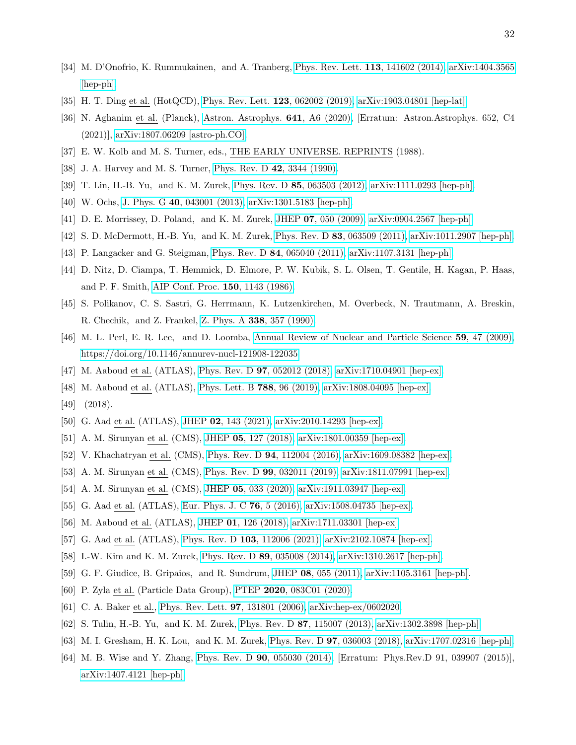- <span id="page-31-0"></span>[34] M. D'Onofrio, K. Rummukainen, and A. Tranberg, [Phys. Rev. Lett.](http://dx.doi.org/10.1103/PhysRevLett.113.141602) 113, 141602 (2014), [arXiv:1404.3565](http://arxiv.org/abs/1404.3565) [\[hep-ph\].](http://arxiv.org/abs/1404.3565)
- <span id="page-31-2"></span><span id="page-31-1"></span>[35] H. T. Ding et al. (HotQCD), [Phys. Rev. Lett.](http://dx.doi.org/ 10.1103/PhysRevLett.123.062002) 123, 062002 (2019), [arXiv:1903.04801 \[hep-lat\].](http://arxiv.org/abs/1903.04801)
- [36] N. Aghanim et al. (Planck), [Astron. Astrophys.](http://dx.doi.org/10.1051/0004-6361/201833910) 641, A6 (2020), [Erratum: Astron.Astrophys. 652, C4 (2021)], [arXiv:1807.06209 \[astro-ph.CO\].](http://arxiv.org/abs/1807.06209)
- <span id="page-31-4"></span><span id="page-31-3"></span>[37] E. W. Kolb and M. S. Turner, eds., THE EARLY UNIVERSE. REPRINTS (1988).
- <span id="page-31-5"></span>[38] J. A. Harvey and M. S. Turner, [Phys. Rev. D](http://dx.doi.org/10.1103/PhysRevD.42.3344) 42, 3344 (1990).
- <span id="page-31-6"></span>[39] T. Lin, H.-B. Yu, and K. M. Zurek, Phys. Rev. D 85[, 063503 \(2012\),](http://dx.doi.org/10.1103/PhysRevD.85.063503) [arXiv:1111.0293 \[hep-ph\].](http://arxiv.org/abs/1111.0293)
- <span id="page-31-7"></span>[40] W. Ochs, J. Phys. G 40[, 043001 \(2013\),](http://dx.doi.org/10.1088/0954-3899/40/4/043001) [arXiv:1301.5183 \[hep-ph\].](http://arxiv.org/abs/1301.5183)
- <span id="page-31-8"></span>[41] D. E. Morrissey, D. Poland, and K. M. Zurek, JHEP 07[, 050 \(2009\),](http://dx.doi.org/10.1088/1126-6708/2009/07/050) [arXiv:0904.2567 \[hep-ph\].](http://arxiv.org/abs/0904.2567)
- <span id="page-31-9"></span>[42] S. D. McDermott, H.-B. Yu, and K. M. Zurek, Phys. Rev. D 83[, 063509 \(2011\),](http://dx.doi.org/10.1103/PhysRevD.83.063509) [arXiv:1011.2907 \[hep-ph\].](http://arxiv.org/abs/1011.2907)
- <span id="page-31-10"></span>[43] P. Langacker and G. Steigman, Phys. Rev. D 84[, 065040 \(2011\),](http://dx.doi.org/10.1103/PhysRevD.84.065040) [arXiv:1107.3131 \[hep-ph\].](http://arxiv.org/abs/1107.3131)
- [44] D. Nitz, D. Ciampa, T. Hemmick, D. Elmore, P. W. Kubik, S. L. Olsen, T. Gentile, H. Kagan, P. Haas, and P. F. Smith, [AIP Conf. Proc.](http://dx.doi.org/10.1063/1.36084) 150, 1143 (1986).
- <span id="page-31-11"></span>[45] S. Polikanov, C. S. Sastri, G. Herrmann, K. Lutzenkirchen, M. Overbeck, N. Trautmann, A. Breskin, R. Chechik, and Z. Frankel, Z. Phys. A 338[, 357 \(1990\).](http://dx.doi.org/10.1007/BF01288200)
- <span id="page-31-12"></span>[46] M. L. Perl, E. R. Lee, and D. Loomba, [Annual Review of Nuclear and Particle Science](http://dx.doi.org/10.1146/annurev-nucl-121908-122035) 59, 47 (2009), [https://doi.org/10.1146/annurev-nucl-121908-122035.](http://arxiv.org/abs/https://doi.org/10.1146/annurev-nucl-121908-122035)
- <span id="page-31-13"></span>[47] M. Aaboud et al. (ATLAS), Phys. Rev. D 97[, 052012 \(2018\),](http://dx.doi.org/10.1103/PhysRevD.97.052012) [arXiv:1710.04901 \[hep-ex\].](http://arxiv.org/abs/1710.04901)
- [48] M. Aaboud et al. (ATLAS), [Phys. Lett. B](http://dx.doi.org/10.1016/j.physletb.2018.10.055) 788, 96 (2019), [arXiv:1808.04095 \[hep-ex\].](http://arxiv.org/abs/1808.04095)
- <span id="page-31-14"></span>[49] (2018).
- <span id="page-31-15"></span>[50] G. Aad et al. (ATLAS), JHEP 02[, 143 \(2021\),](http://dx.doi.org/ 10.1007/JHEP02(2021)143) [arXiv:2010.14293 \[hep-ex\].](http://arxiv.org/abs/2010.14293)
- <span id="page-31-19"></span>[51] A. M. Sirunyan et al. (CMS), JHEP 05[, 127 \(2018\),](http://dx.doi.org/10.1007/JHEP05(2018)127) [arXiv:1801.00359 \[hep-ex\].](http://arxiv.org/abs/1801.00359)
- <span id="page-31-16"></span>[52] V. Khachatryan et al. (CMS), Phys. Rev. D 94[, 112004 \(2016\),](http://dx.doi.org/10.1103/PhysRevD.94.112004) [arXiv:1609.08382 \[hep-ex\].](http://arxiv.org/abs/1609.08382)
- <span id="page-31-17"></span>[53] A. M. Sirunyan et al. (CMS), Phys. Rev. D 99[, 032011 \(2019\),](http://dx.doi.org/10.1103/PhysRevD.99.032011) [arXiv:1811.07991 \[hep-ex\].](http://arxiv.org/abs/1811.07991)
- <span id="page-31-18"></span>[54] A. M. Sirunyan et al. (CMS), JHEP 05[, 033 \(2020\),](http://dx.doi.org/10.1007/JHEP05(2020)033) [arXiv:1911.03947 \[hep-ex\].](http://arxiv.org/abs/1911.03947)
- <span id="page-31-20"></span>[55] G. Aad et al. (ATLAS), [Eur. Phys. J. C](http://dx.doi.org/ 10.1140/epjc/s10052-015-3823-9) 76, 5 (2016), [arXiv:1508.04735 \[hep-ex\].](http://arxiv.org/abs/1508.04735)
- <span id="page-31-21"></span>[56] M. Aaboud et al. (ATLAS), JHEP 01[, 126 \(2018\),](http://dx.doi.org/10.1007/JHEP01(2018)126) [arXiv:1711.03301 \[hep-ex\].](http://arxiv.org/abs/1711.03301)
- <span id="page-31-22"></span>[57] G. Aad et al. (ATLAS), Phys. Rev. D 103[, 112006 \(2021\),](http://dx.doi.org/ 10.1103/PhysRevD.103.112006) [arXiv:2102.10874 \[hep-ex\].](http://arxiv.org/abs/2102.10874)
- <span id="page-31-23"></span>[58] I.-W. Kim and K. M. Zurek, Phys. Rev. D 89[, 035008 \(2014\),](http://dx.doi.org/10.1103/PhysRevD.89.035008) [arXiv:1310.2617 \[hep-ph\].](http://arxiv.org/abs/1310.2617)
- <span id="page-31-24"></span>[59] G. F. Giudice, B. Gripaios, and R. Sundrum, JHEP 08[, 055 \(2011\),](http://dx.doi.org/10.1007/JHEP08(2011)055) [arXiv:1105.3161 \[hep-ph\].](http://arxiv.org/abs/1105.3161)
- <span id="page-31-25"></span>[60] P. Zyla et al. (Particle Data Group), PTEP 2020[, 083C01 \(2020\).](http://dx.doi.org/10.1093/ptep/ptaa104)
- <span id="page-31-26"></span>[61] C. A. Baker et al., [Phys. Rev. Lett.](http://dx.doi.org/10.1103/PhysRevLett.97.131801) 97, 131801 (2006), [arXiv:hep-ex/0602020.](http://arxiv.org/abs/hep-ex/0602020)
- <span id="page-31-27"></span>[62] S. Tulin, H.-B. Yu, and K. M. Zurek, Phys. Rev. D 87[, 115007 \(2013\),](http://dx.doi.org/10.1103/PhysRevD.87.115007) [arXiv:1302.3898 \[hep-ph\].](http://arxiv.org/abs/1302.3898)
- <span id="page-31-28"></span>[63] M. I. Gresham, H. K. Lou, and K. M. Zurek, Phys. Rev. D 97[, 036003 \(2018\),](http://dx.doi.org/10.1103/PhysRevD.97.036003) [arXiv:1707.02316 \[hep-ph\].](http://arxiv.org/abs/1707.02316)
- [64] M. B. Wise and Y. Zhang, Phys. Rev. D 90[, 055030 \(2014\),](http://dx.doi.org/10.1103/PhysRevD.90.055030) [Erratum: Phys.Rev.D 91, 039907 (2015)], [arXiv:1407.4121 \[hep-ph\].](http://arxiv.org/abs/1407.4121)